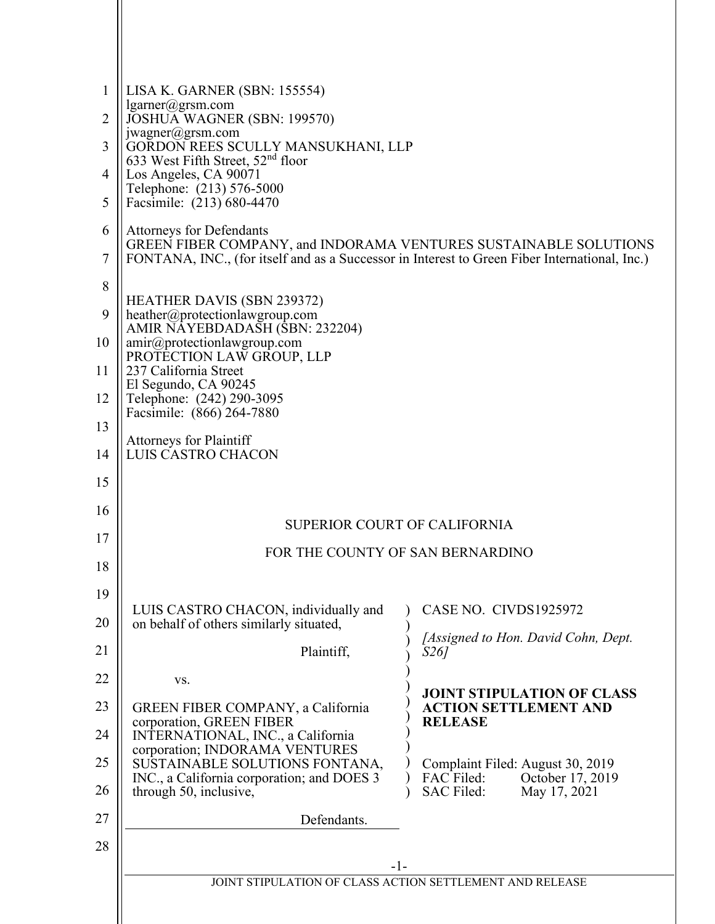| 1<br>2   | LISA K. GARNER (SBN: 155554)<br>$lgarner(\omega)$ grsm.com<br>JOSHUA WAGNER (SBN: 199570)                                                                                                            |                                                                    |
|----------|------------------------------------------------------------------------------------------------------------------------------------------------------------------------------------------------------|--------------------------------------------------------------------|
| 3        | jwagner@grsm.com<br>GORDON REES SCULLY MANSUKHANI, LLP<br>633 West Fifth Street, 52 <sup>nd</sup> floor                                                                                              |                                                                    |
| 4        | Los Angeles, CA 90071<br>Telephone: (213) 576-5000                                                                                                                                                   |                                                                    |
| 5        | Facsimile: (213) 680-4470                                                                                                                                                                            |                                                                    |
| 6<br>7   | <b>Attorneys for Defendants</b><br>GREEN FIBER COMPANY, and INDORAMA VENTURES SUSTAINABLE SOLUTIONS<br>FONTANA, INC., (for itself and as a Successor in Interest to Green Fiber International, Inc.) |                                                                    |
| 8        |                                                                                                                                                                                                      |                                                                    |
| 9        | <b>HEATHER DAVIS (SBN 239372)</b><br>heather@protectionlawgroup.com                                                                                                                                  |                                                                    |
| 10       | AMIR NAYEBDADASH (SBN: 232204)<br>amir@protectionlawgroup.com<br>PROTECTION LAW GROUP, LLP                                                                                                           |                                                                    |
| 11       | 237 California Street<br>El Segundo, CA 90245                                                                                                                                                        |                                                                    |
| 12       | Telephone: (242) 290-3095<br>Facsimile: (866) 264-7880                                                                                                                                               |                                                                    |
| 13       | <b>Attorneys for Plaintiff</b>                                                                                                                                                                       |                                                                    |
| 14       | LUIS CASTRO CHACON                                                                                                                                                                                   |                                                                    |
| 15       |                                                                                                                                                                                                      |                                                                    |
| 16       |                                                                                                                                                                                                      | <b>SUPERIOR COURT OF CALIFORNIA</b>                                |
| 17       |                                                                                                                                                                                                      | FOR THE COUNTY OF SAN BERNARDINO                                   |
| 18       |                                                                                                                                                                                                      |                                                                    |
| 19       | LUIS CASTRO CHACON, individually and                                                                                                                                                                 | CASE NO. CIVDS1925972                                              |
| 20       | on behalf of others similarly situated,                                                                                                                                                              | [Assigned to Hon. David Cohn, Dept.                                |
| 21       | Plaintiff,                                                                                                                                                                                           | <i>S26]</i>                                                        |
| 22       | VS.                                                                                                                                                                                                  | JOINT STIPULATION OF CLASS                                         |
| 23       | <b>GREEN FIBER COMPANY</b> , a California<br>corporation, GREEN FIBER                                                                                                                                | <b>ACTION SETTLEMENT AND</b><br><b>RELEASE</b>                     |
| 24       | INTERNATIONAL, INC., a California<br>corporation; INDORAMA VENTURES                                                                                                                                  |                                                                    |
| 25       | SUSTAINABLE SOLUTIONS FONTANA,<br>INC., a California corporation; and DOES 3                                                                                                                         | Complaint Filed: August 30, 2019<br>October 17, 2019<br>FAC Filed: |
| 26<br>27 | through 50, inclusive,<br>Defendants.                                                                                                                                                                | <b>SAC Filed:</b><br>May 17, 2021                                  |
| 28       |                                                                                                                                                                                                      |                                                                    |
|          |                                                                                                                                                                                                      | $-1-$                                                              |
|          | JOINT STIPULATION OF CLASS ACTION SETTLEMENT AND RELEASE                                                                                                                                             |                                                                    |
|          |                                                                                                                                                                                                      |                                                                    |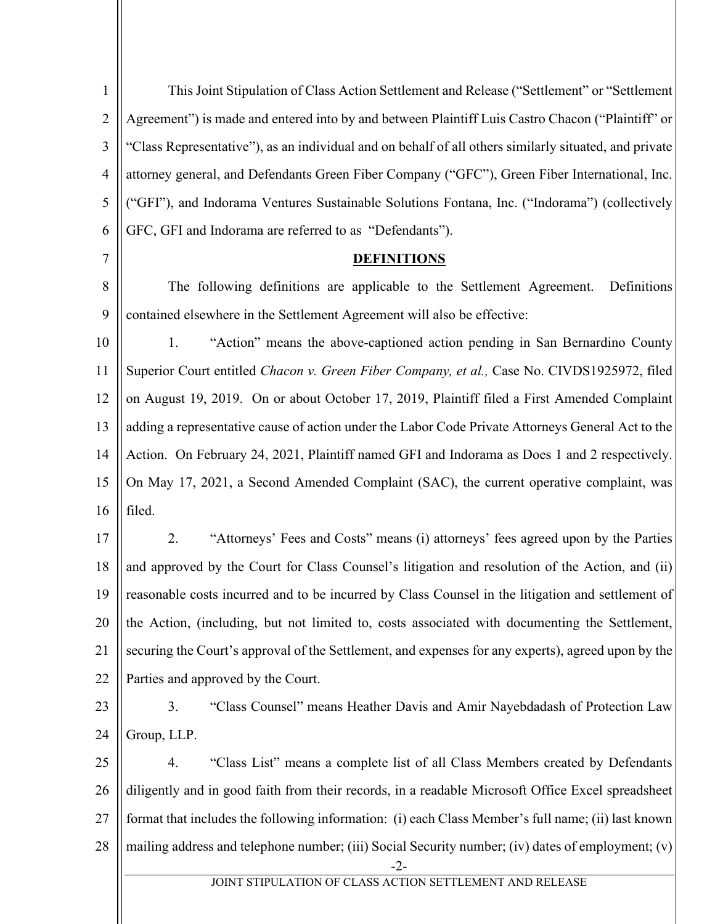| $\mathbf{1}$   | This Joint Stipulation of Class Action Settlement and Release ("Settlement" or "Settlement            |
|----------------|-------------------------------------------------------------------------------------------------------|
| $\overline{2}$ | Agreement") is made and entered into by and between Plaintiff Luis Castro Chacon ("Plaintiff" or      |
| 3              | "Class Representative"), as an individual and on behalf of all others similarly situated, and private |
| $\overline{4}$ | attorney general, and Defendants Green Fiber Company ("GFC"), Green Fiber International, Inc.         |
| 5              | ("GFI"), and Indorama Ventures Sustainable Solutions Fontana, Inc. ("Indorama") (collectively         |
| 6              | GFC, GFI and Indorama are referred to as "Defendants").                                               |
| $\tau$         | <b>DEFINITIONS</b>                                                                                    |
| 8              | The following definitions are applicable to the Settlement Agreement.<br>Definitions                  |
| 9              | contained elsewhere in the Settlement Agreement will also be effective:                               |
| 10             | "Action" means the above-captioned action pending in San Bernardino County<br>1.                      |
| 11             | Superior Court entitled Chacon v. Green Fiber Company, et al., Case No. CIVDS1925972, filed           |
| 12             | on August 19, 2019. On or about October 17, 2019, Plaintiff filed a First Amended Complaint           |
| 13             | adding a representative cause of action under the Labor Code Private Attorneys General Act to the     |
| 14             | Action. On February 24, 2021, Plaintiff named GFI and Indorama as Does 1 and 2 respectively.          |
| 15             | On May 17, 2021, a Second Amended Complaint (SAC), the current operative complaint, was               |
| 16             | filed.                                                                                                |
| 17             | "Attorneys' Fees and Costs" means (i) attorneys' fees agreed upon by the Parties<br>2.                |
| 18             | and approved by the Court for Class Counsel's litigation and resolution of the Action, and (ii)       |
| 19             | reasonable costs incurred and to be incurred by Class Counsel in the litigation and settlement of     |
| 20             | the Action, (including, but not limited to, costs associated with documenting the Settlement,         |
| 21             | securing the Court's approval of the Settlement, and expenses for any experts), agreed upon by the    |
| 22             | Parties and approved by the Court.                                                                    |
| 23             | 3.<br>"Class Counsel" means Heather Davis and Amir Nayebdadash of Protection Law                      |
| 24             | Group, LLP.                                                                                           |
| 25             | "Class List" means a complete list of all Class Members created by Defendants<br>4.                   |
| 26             | diligently and in good faith from their records, in a readable Microsoft Office Excel spreadsheet     |
| 27             | format that includes the following information: (i) each Class Member's full name; (ii) last known    |
| 28             | mailing address and telephone number; (iii) Social Security number; (iv) dates of employment; (v)     |
|                | -2-<br>JOINT STIPULATION OF CLASS ACTION SETTLEMENT AND RELEASE                                       |
|                |                                                                                                       |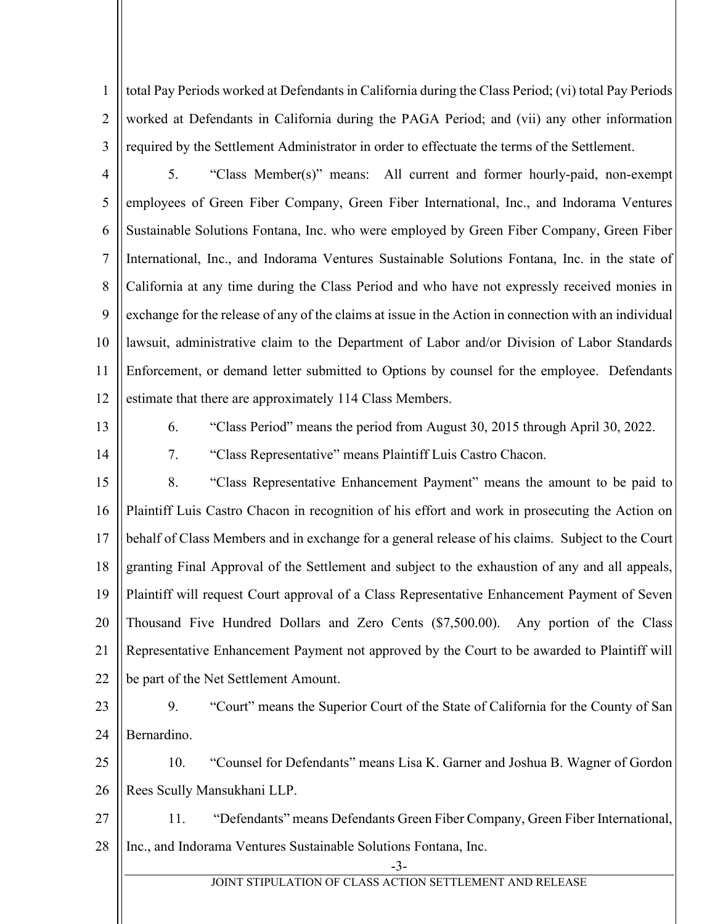1 2 3 total Pay Periods worked at Defendants in California during the Class Period; (vi) total Pay Periods worked at Defendants in California during the PAGA Period; and (vii) any other information required by the Settlement Administrator in order to effectuate the terms of the Settlement.

4

5 6 7 8 9 10 11 12 5. "Class Member(s)" means: All current and former hourly-paid, non-exempt employees of Green Fiber Company, Green Fiber International, Inc., and Indorama Ventures Sustainable Solutions Fontana, Inc. who were employed by Green Fiber Company, Green Fiber International, Inc., and Indorama Ventures Sustainable Solutions Fontana, Inc. in the state of California at any time during the Class Period and who have not expressly received monies in exchange for the release of any of the claims at issue in the Action in connection with an individual lawsuit, administrative claim to the Department of Labor and/or Division of Labor Standards Enforcement, or demand letter submitted to Options by counsel for the employee. Defendants estimate that there are approximately 114 Class Members.

13

14

6. "Class Period" means the period from August 30, 2015 through April 30, 2022.

7. "Class Representative" means Plaintiff Luis Castro Chacon.

15 16 17 18 19 20 21 22 8. "Class Representative Enhancement Payment" means the amount to be paid to Plaintiff Luis Castro Chacon in recognition of his effort and work in prosecuting the Action on behalf of Class Members and in exchange for a general release of his claims. Subject to the Court granting Final Approval of the Settlement and subject to the exhaustion of any and all appeals, Plaintiff will request Court approval of a Class Representative Enhancement Payment of Seven Thousand Five Hundred Dollars and Zero Cents (\$7,500.00). Any portion of the Class Representative Enhancement Payment not approved by the Court to be awarded to Plaintiff will be part of the Net Settlement Amount.

23

24

9. "Court" means the Superior Court of the State of California for the County of San Bernardino.

25 26 10. "Counsel for Defendants" means Lisa K. Garner and Joshua B. Wagner of Gordon Rees Scully Mansukhani LLP.

27 28 11. "Defendants" means Defendants Green Fiber Company, Green Fiber International, Inc., and Indorama Ventures Sustainable Solutions Fontana, Inc.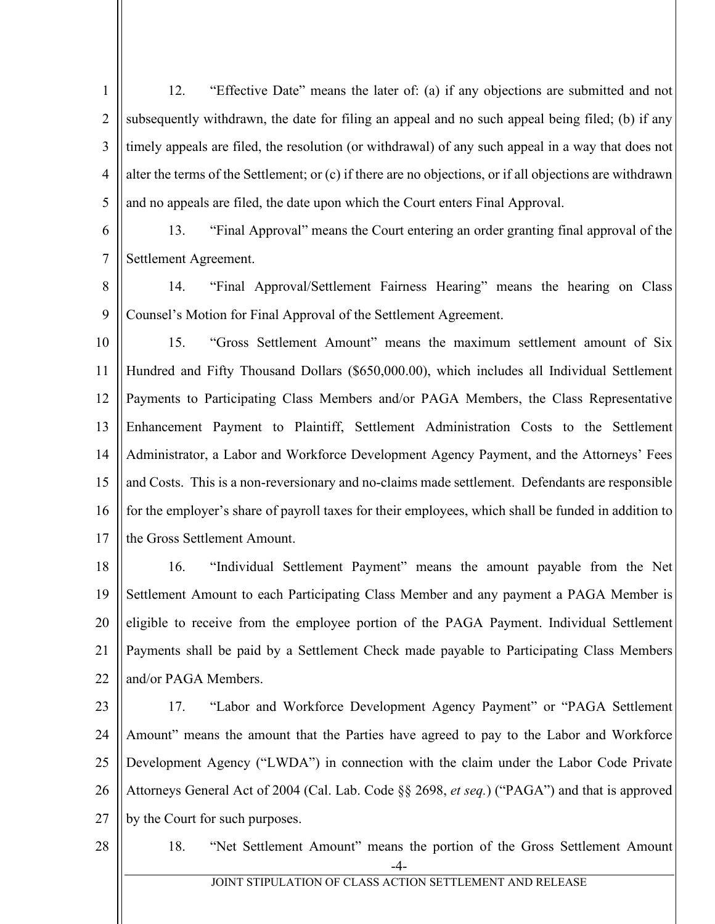1 2 3 4 5 12. "Effective Date" means the later of: (a) if any objections are submitted and not subsequently withdrawn, the date for filing an appeal and no such appeal being filed; (b) if any timely appeals are filed, the resolution (or withdrawal) of any such appeal in a way that does not alter the terms of the Settlement; or (c) if there are no objections, or if all objections are withdrawn and no appeals are filed, the date upon which the Court enters Final Approval.

6 7 13. "Final Approval" means the Court entering an order granting final approval of the Settlement Agreement.

8 9 14. "Final Approval/Settlement Fairness Hearing" means the hearing on Class Counsel's Motion for Final Approval of the Settlement Agreement.

10 11 12 13 14 15 16 17 15. "Gross Settlement Amount" means the maximum settlement amount of Six Hundred and Fifty Thousand Dollars (\$650,000.00), which includes all Individual Settlement Payments to Participating Class Members and/or PAGA Members, the Class Representative Enhancement Payment to Plaintiff, Settlement Administration Costs to the Settlement Administrator, a Labor and Workforce Development Agency Payment, and the Attorneys' Fees and Costs. This is a non-reversionary and no-claims made settlement. Defendants are responsible for the employer's share of payroll taxes for their employees, which shall be funded in addition to the Gross Settlement Amount.

18 19 20 21 22 16. "Individual Settlement Payment" means the amount payable from the Net Settlement Amount to each Participating Class Member and any payment a PAGA Member is eligible to receive from the employee portion of the PAGA Payment. Individual Settlement Payments shall be paid by a Settlement Check made payable to Participating Class Members and/or PAGA Members.

23

24 25 26 27 17. "Labor and Workforce Development Agency Payment" or "PAGA Settlement Amount" means the amount that the Parties have agreed to pay to the Labor and Workforce Development Agency ("LWDA") in connection with the claim under the Labor Code Private Attorneys General Act of 2004 (Cal. Lab. Code §§ 2698, *et seq.*) ("PAGA") and that is approved by the Court for such purposes.

28

18. "Net Settlement Amount" means the portion of the Gross Settlement Amount

JOINT STIPULATION OF CLASS ACTION SETTLEMENT AND RELEASE

<sup>-4-</sup>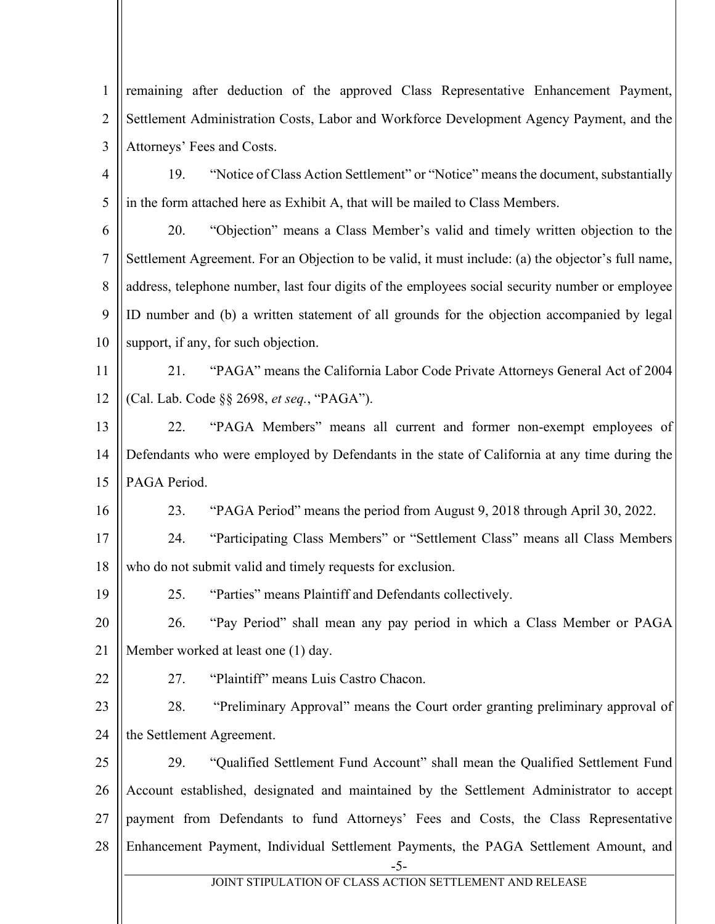1 2 3 4 5 6 7 8 9 10 remaining after deduction of the approved Class Representative Enhancement Payment, Settlement Administration Costs, Labor and Workforce Development Agency Payment, and the Attorneys' Fees and Costs. 19. "Notice of Class Action Settlement" or "Notice" means the document, substantially in the form attached here as Exhibit A, that will be mailed to Class Members. 20. "Objection" means a Class Member's valid and timely written objection to the Settlement Agreement. For an Objection to be valid, it must include: (a) the objector's full name, address, telephone number, last four digits of the employees social security number or employee ID number and (b) a written statement of all grounds for the objection accompanied by legal support, if any, for such objection.

11 12 21. "PAGA" means the California Labor Code Private Attorneys General Act of 2004 (Cal. Lab. Code §§ 2698, *et seq.*, "PAGA").

13 14 15 22. "PAGA Members" means all current and former non-exempt employees of Defendants who were employed by Defendants in the state of California at any time during the PAGA Period.

23. "PAGA Period" means the period from August 9, 2018 through April 30, 2022.

17 18 24. "Participating Class Members" or "Settlement Class" means all Class Members who do not submit valid and timely requests for exclusion.

19 25. "Parties" means Plaintiff and Defendants collectively.

20 21 26. "Pay Period" shall mean any pay period in which a Class Member or PAGA Member worked at least one (1) day.

22

16

27. "Plaintiff" means Luis Castro Chacon.

23 24 28. "Preliminary Approval" means the Court order granting preliminary approval of the Settlement Agreement.

25 26 27 28 29. "Qualified Settlement Fund Account" shall mean the Qualified Settlement Fund Account established, designated and maintained by the Settlement Administrator to accept payment from Defendants to fund Attorneys' Fees and Costs, the Class Representative Enhancement Payment, Individual Settlement Payments, the PAGA Settlement Amount, and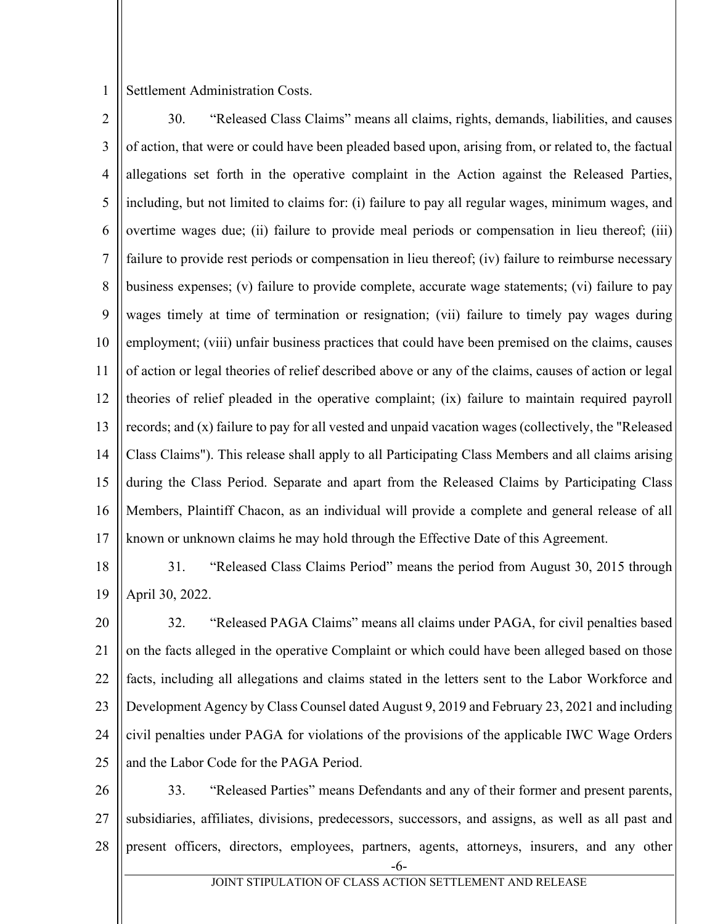1 Settlement Administration Costs.

- 2 3 4 5 6 7 8 9 10 11 12 13 14 15 16 17 30. "Released Class Claims" means all claims, rights, demands, liabilities, and causes of action, that were or could have been pleaded based upon, arising from, or related to, the factual allegations set forth in the operative complaint in the Action against the Released Parties, including, but not limited to claims for: (i) failure to pay all regular wages, minimum wages, and overtime wages due; (ii) failure to provide meal periods or compensation in lieu thereof; (iii) failure to provide rest periods or compensation in lieu thereof; (iv) failure to reimburse necessary business expenses; (v) failure to provide complete, accurate wage statements; (vi) failure to pay wages timely at time of termination or resignation; (vii) failure to timely pay wages during employment; (viii) unfair business practices that could have been premised on the claims, causes of action or legal theories of relief described above or any of the claims, causes of action or legal theories of relief pleaded in the operative complaint; (ix) failure to maintain required payroll records; and (x) failure to pay for all vested and unpaid vacation wages (collectively, the "Released Class Claims"). This release shall apply to all Participating Class Members and all claims arising during the Class Period. Separate and apart from the Released Claims by Participating Class Members, Plaintiff Chacon, as an individual will provide a complete and general release of all known or unknown claims he may hold through the Effective Date of this Agreement.
- 18 19 31. "Released Class Claims Period" means the period from August 30, 2015 through April 30, 2022.
- 20 21 22 23 24 25 32. "Released PAGA Claims" means all claims under PAGA, for civil penalties based on the facts alleged in the operative Complaint or which could have been alleged based on those facts, including all allegations and claims stated in the letters sent to the Labor Workforce and Development Agency by Class Counsel dated August 9, 2019 and February 23, 2021 and including civil penalties under PAGA for violations of the provisions of the applicable IWC Wage Orders and the Labor Code for the PAGA Period.
- 26 27 28 33. "Released Parties" means Defendants and any of their former and present parents, subsidiaries, affiliates, divisions, predecessors, successors, and assigns, as well as all past and present officers, directors, employees, partners, agents, attorneys, insurers, and any other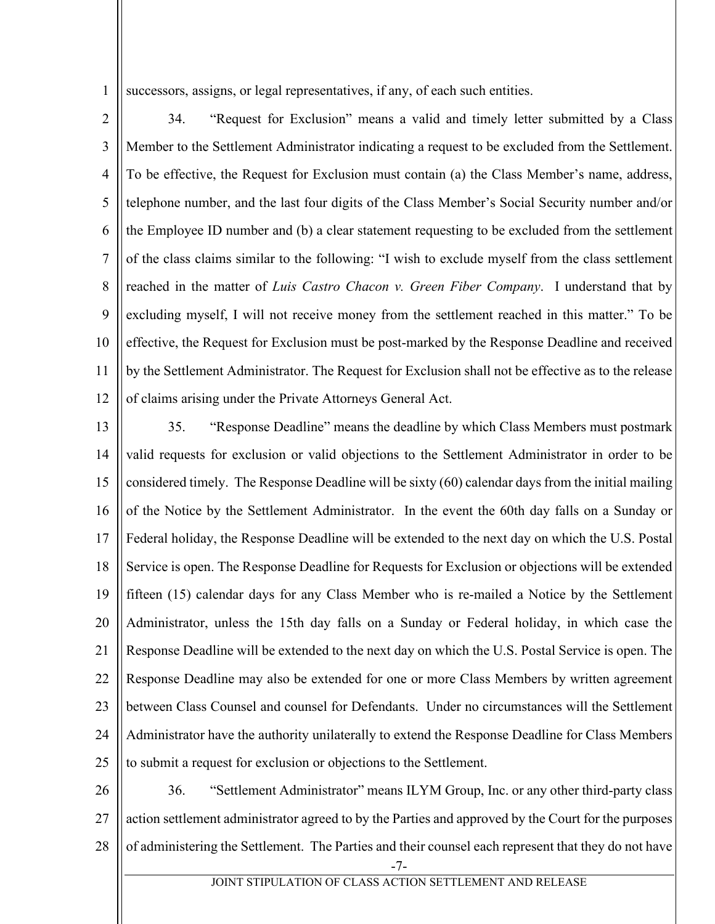1 successors, assigns, or legal representatives, if any, of each such entities.

2 3 4 5 6 7 8 9 10 11 12 34. "Request for Exclusion" means a valid and timely letter submitted by a Class Member to the Settlement Administrator indicating a request to be excluded from the Settlement. To be effective, the Request for Exclusion must contain (a) the Class Member's name, address, telephone number, and the last four digits of the Class Member's Social Security number and/or the Employee ID number and (b) a clear statement requesting to be excluded from the settlement of the class claims similar to the following: "I wish to exclude myself from the class settlement reached in the matter of *Luis Castro Chacon v. Green Fiber Company*. I understand that by excluding myself, I will not receive money from the settlement reached in this matter." To be effective, the Request for Exclusion must be post-marked by the Response Deadline and received by the Settlement Administrator. The Request for Exclusion shall not be effective as to the release of claims arising under the Private Attorneys General Act.

13 14 15 16 17 18 19 20 21 22 23 24 25 35. "Response Deadline" means the deadline by which Class Members must postmark valid requests for exclusion or valid objections to the Settlement Administrator in order to be considered timely. The Response Deadline will be sixty (60) calendar days from the initial mailing of the Notice by the Settlement Administrator. In the event the 60th day falls on a Sunday or Federal holiday, the Response Deadline will be extended to the next day on which the U.S. Postal Service is open. The Response Deadline for Requests for Exclusion or objections will be extended fifteen (15) calendar days for any Class Member who is re-mailed a Notice by the Settlement Administrator, unless the 15th day falls on a Sunday or Federal holiday, in which case the Response Deadline will be extended to the next day on which the U.S. Postal Service is open. The Response Deadline may also be extended for one or more Class Members by written agreement between Class Counsel and counsel for Defendants. Under no circumstances will the Settlement Administrator have the authority unilaterally to extend the Response Deadline for Class Members to submit a request for exclusion or objections to the Settlement.

26 27 28 36. "Settlement Administrator" means ILYM Group, Inc. or any other third-party class action settlement administrator agreed to by the Parties and approved by the Court for the purposes of administering the Settlement. The Parties and their counsel each represent that they do not have

<sup>-7-</sup>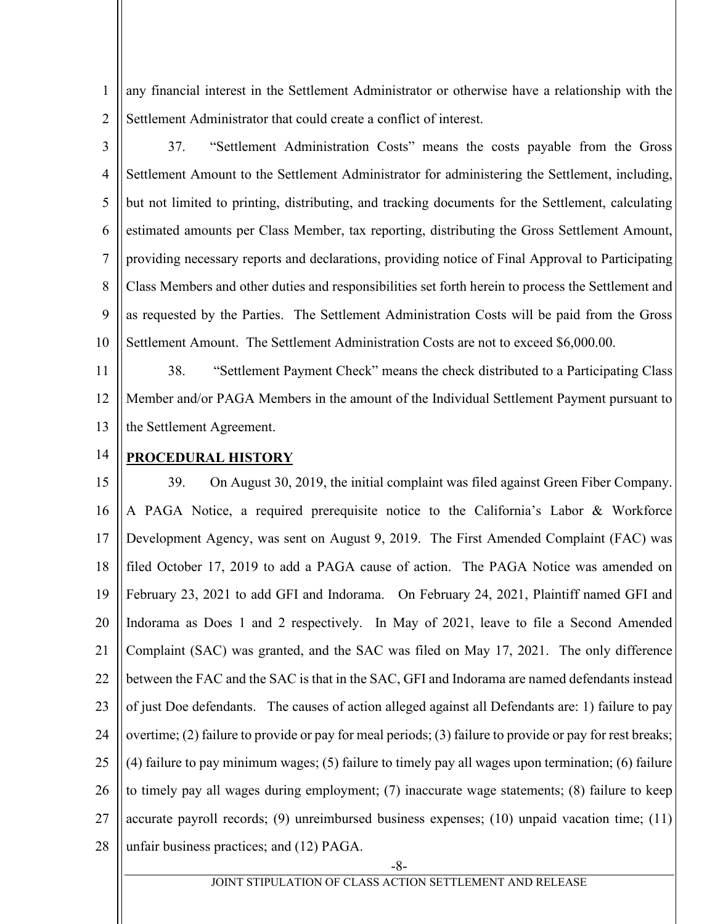1 2 any financial interest in the Settlement Administrator or otherwise have a relationship with the Settlement Administrator that could create a conflict of interest.

3 4 5 6 7 8 9 10 37. "Settlement Administration Costs" means the costs payable from the Gross Settlement Amount to the Settlement Administrator for administering the Settlement, including, but not limited to printing, distributing, and tracking documents for the Settlement, calculating estimated amounts per Class Member, tax reporting, distributing the Gross Settlement Amount, providing necessary reports and declarations, providing notice of Final Approval to Participating Class Members and other duties and responsibilities set forth herein to process the Settlement and as requested by the Parties. The Settlement Administration Costs will be paid from the Gross Settlement Amount. The Settlement Administration Costs are not to exceed \$6,000.00.

11 12 13 38. "Settlement Payment Check" means the check distributed to a Participating Class Member and/or PAGA Members in the amount of the Individual Settlement Payment pursuant to the Settlement Agreement.

14

## **PROCEDURAL HISTORY**

15 16 17 18 19 20 21 22 23 24 25 26 27 28 39. On August 30, 2019, the initial complaint was filed against Green Fiber Company. A PAGA Notice, a required prerequisite notice to the California's Labor & Workforce Development Agency, was sent on August 9, 2019. The First Amended Complaint (FAC) was filed October 17, 2019 to add a PAGA cause of action. The PAGA Notice was amended on February 23, 2021 to add GFI and Indorama. On February 24, 2021, Plaintiff named GFI and Indorama as Does 1 and 2 respectively. In May of 2021, leave to file a Second Amended Complaint (SAC) was granted, and the SAC was filed on May 17, 2021. The only difference between the FAC and the SAC is that in the SAC, GFI and Indorama are named defendants instead of just Doe defendants. The causes of action alleged against all Defendants are: 1) failure to pay overtime; (2) failure to provide or pay for meal periods; (3) failure to provide or pay for rest breaks; (4) failure to pay minimum wages; (5) failure to timely pay all wages upon termination; (6) failure to timely pay all wages during employment; (7) inaccurate wage statements; (8) failure to keep accurate payroll records; (9) unreimbursed business expenses; (10) unpaid vacation time; (11) unfair business practices; and (12) PAGA.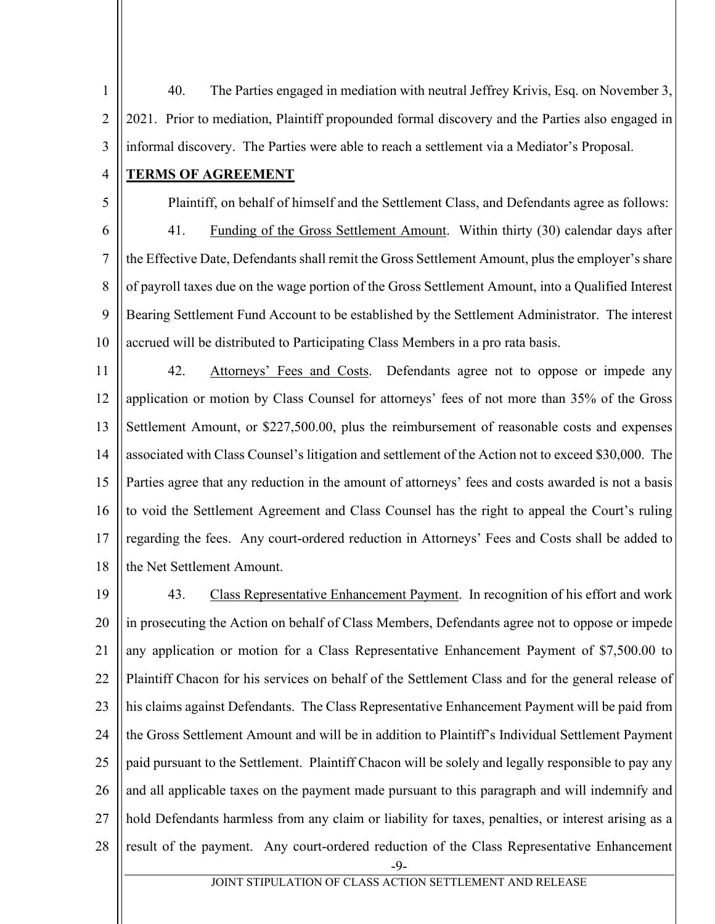1 2 3 40. The Parties engaged in mediation with neutral Jeffrey Krivis, Esq. on November 3, 2021. Prior to mediation, Plaintiff propounded formal discovery and the Parties also engaged in informal discovery. The Parties were able to reach a settlement via a Mediator's Proposal.

## 4 **TERMS OF AGREEMENT**

5

Plaintiff, on behalf of himself and the Settlement Class, and Defendants agree as follows:

6 7 8 9 10 41. Funding of the Gross Settlement Amount. Within thirty (30) calendar days after the Effective Date, Defendants shall remit the Gross Settlement Amount, plus the employer's share of payroll taxes due on the wage portion of the Gross Settlement Amount, into a Qualified Interest Bearing Settlement Fund Account to be established by the Settlement Administrator. The interest accrued will be distributed to Participating Class Members in a pro rata basis.

11 12 13 14 15 16 17 18 42. Attorneys' Fees and Costs. Defendants agree not to oppose or impede any application or motion by Class Counsel for attorneys' fees of not more than 35% of the Gross Settlement Amount, or \$227,500.00, plus the reimbursement of reasonable costs and expenses associated with Class Counsel's litigation and settlement of the Action not to exceed \$30,000. The Parties agree that any reduction in the amount of attorneys' fees and costs awarded is not a basis to void the Settlement Agreement and Class Counsel has the right to appeal the Court's ruling regarding the fees. Any court-ordered reduction in Attorneys' Fees and Costs shall be added to the Net Settlement Amount.

19 20 21 22 23 24 25 26 27 28 43. Class Representative Enhancement Payment. In recognition of his effort and work in prosecuting the Action on behalf of Class Members, Defendants agree not to oppose or impede any application or motion for a Class Representative Enhancement Payment of \$7,500.00 to Plaintiff Chacon for his services on behalf of the Settlement Class and for the general release of his claims against Defendants. The Class Representative Enhancement Payment will be paid from the Gross Settlement Amount and will be in addition to Plaintiff's Individual Settlement Payment paid pursuant to the Settlement. Plaintiff Chacon will be solely and legally responsible to pay any and all applicable taxes on the payment made pursuant to this paragraph and will indemnify and hold Defendants harmless from any claim or liability for taxes, penalties, or interest arising as a result of the payment. Any court-ordered reduction of the Class Representative Enhancement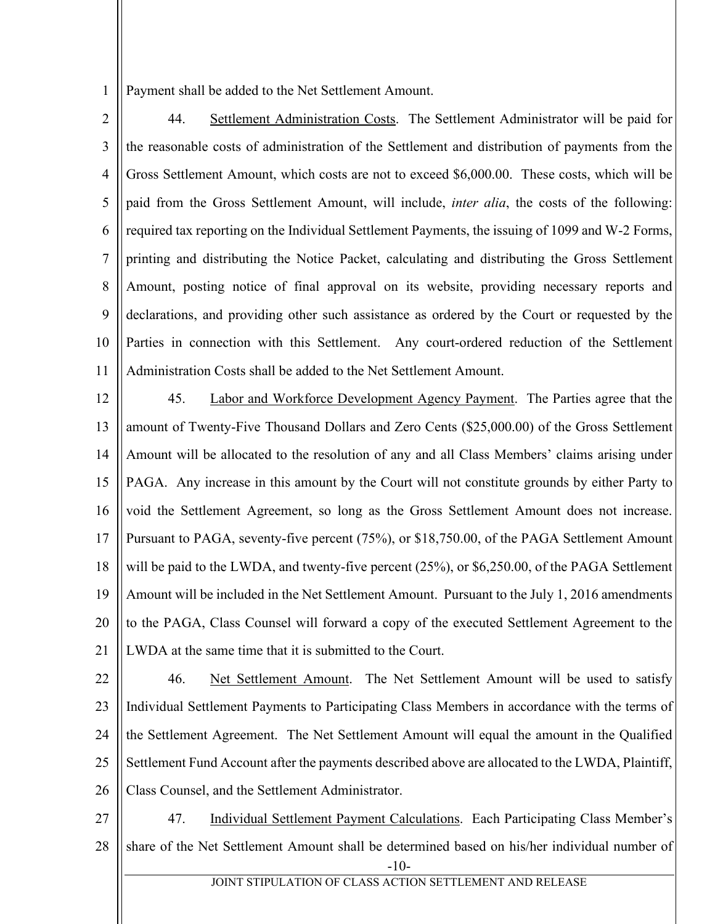1 Payment shall be added to the Net Settlement Amount.

- 2 3 4 5 6 7 8 9 10 11 44. Settlement Administration Costs. The Settlement Administrator will be paid for the reasonable costs of administration of the Settlement and distribution of payments from the Gross Settlement Amount, which costs are not to exceed \$6,000.00. These costs, which will be paid from the Gross Settlement Amount, will include, *inter alia*, the costs of the following: required tax reporting on the Individual Settlement Payments, the issuing of 1099 and W-2 Forms, printing and distributing the Notice Packet, calculating and distributing the Gross Settlement Amount, posting notice of final approval on its website, providing necessary reports and declarations, and providing other such assistance as ordered by the Court or requested by the Parties in connection with this Settlement. Any court-ordered reduction of the Settlement Administration Costs shall be added to the Net Settlement Amount.
- 12 13 14 15 16 17 18 19 20 21 45. Labor and Workforce Development Agency Payment. The Parties agree that the amount of Twenty-Five Thousand Dollars and Zero Cents (\$25,000.00) of the Gross Settlement Amount will be allocated to the resolution of any and all Class Members' claims arising under PAGA. Any increase in this amount by the Court will not constitute grounds by either Party to void the Settlement Agreement, so long as the Gross Settlement Amount does not increase. Pursuant to PAGA, seventy-five percent (75%), or \$18,750.00, of the PAGA Settlement Amount will be paid to the LWDA, and twenty-five percent (25%), or \$6,250.00, of the PAGA Settlement Amount will be included in the Net Settlement Amount. Pursuant to the July 1, 2016 amendments to the PAGA, Class Counsel will forward a copy of the executed Settlement Agreement to the LWDA at the same time that it is submitted to the Court.
- 22 23 24 25 26 46. Net Settlement Amount. The Net Settlement Amount will be used to satisfy Individual Settlement Payments to Participating Class Members in accordance with the terms of the Settlement Agreement. The Net Settlement Amount will equal the amount in the Qualified Settlement Fund Account after the payments described above are allocated to the LWDA, Plaintiff, Class Counsel, and the Settlement Administrator.
- -10- 27 28 47. Individual Settlement Payment Calculations. Each Participating Class Member's share of the Net Settlement Amount shall be determined based on his/her individual number of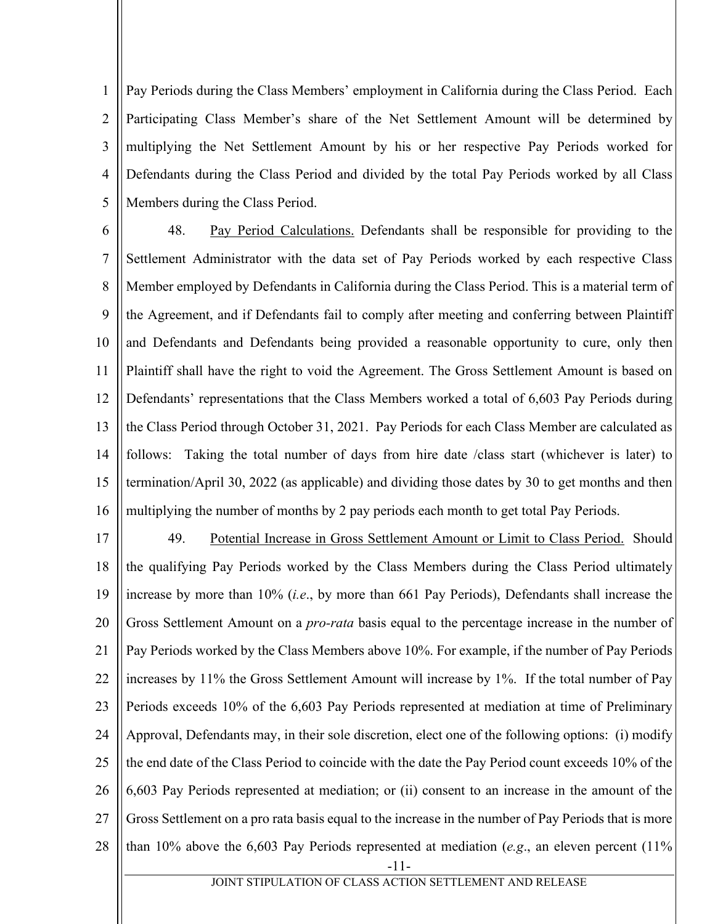1 2 3 4 5 Pay Periods during the Class Members' employment in California during the Class Period. Each Participating Class Member's share of the Net Settlement Amount will be determined by multiplying the Net Settlement Amount by his or her respective Pay Periods worked for Defendants during the Class Period and divided by the total Pay Periods worked by all Class Members during the Class Period.

6 7 8 9 10 11 12 13 14 15 16 48. Pay Period Calculations. Defendants shall be responsible for providing to the Settlement Administrator with the data set of Pay Periods worked by each respective Class Member employed by Defendants in California during the Class Period. This is a material term of the Agreement, and if Defendants fail to comply after meeting and conferring between Plaintiff and Defendants and Defendants being provided a reasonable opportunity to cure, only then Plaintiff shall have the right to void the Agreement. The Gross Settlement Amount is based on Defendants' representations that the Class Members worked a total of 6,603 Pay Periods during the Class Period through October 31, 2021. Pay Periods for each Class Member are calculated as follows: Taking the total number of days from hire date /class start (whichever is later) to termination/April 30, 2022 (as applicable) and dividing those dates by 30 to get months and then multiplying the number of months by 2 pay periods each month to get total Pay Periods.

17 18 19 20 21 22 23 24 25 26 27 28 49. Potential Increase in Gross Settlement Amount or Limit to Class Period. Should the qualifying Pay Periods worked by the Class Members during the Class Period ultimately increase by more than 10% (*i.e*., by more than 661 Pay Periods), Defendants shall increase the Gross Settlement Amount on a *pro-rata* basis equal to the percentage increase in the number of Pay Periods worked by the Class Members above 10%. For example, if the number of Pay Periods increases by 11% the Gross Settlement Amount will increase by 1%. If the total number of Pay Periods exceeds 10% of the 6,603 Pay Periods represented at mediation at time of Preliminary Approval, Defendants may, in their sole discretion, elect one of the following options: (i) modify the end date of the Class Period to coincide with the date the Pay Period count exceeds 10% of the 6,603 Pay Periods represented at mediation; or (ii) consent to an increase in the amount of the Gross Settlement on a pro rata basis equal to the increase in the number of Pay Periods that is more than 10% above the 6,603 Pay Periods represented at mediation (*e.g*., an eleven percent (11%

-11-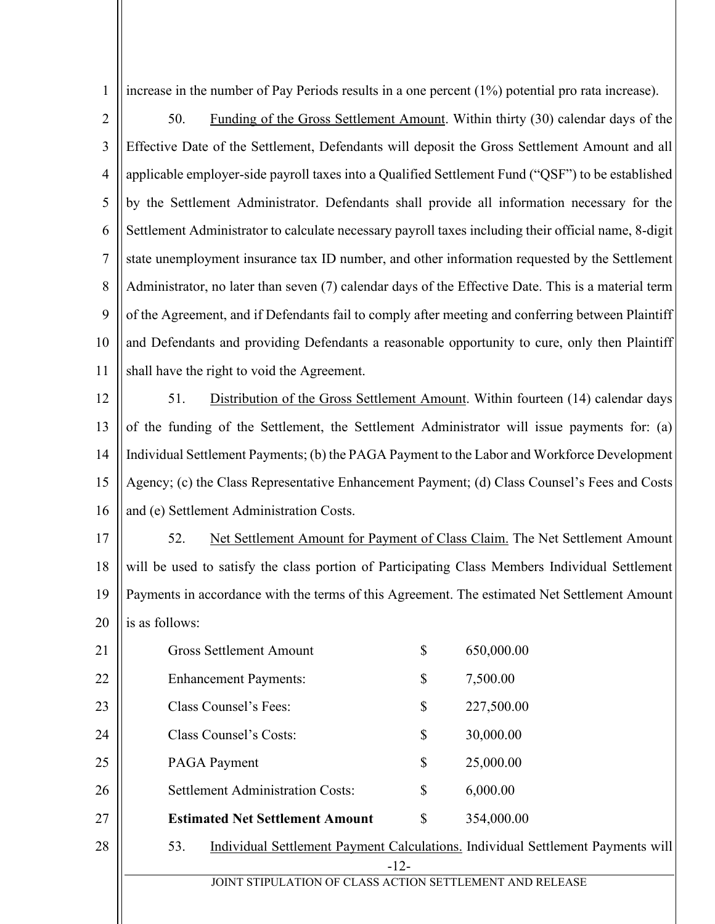1 increase in the number of Pay Periods results in a one percent (1%) potential pro rata increase).

- 2 3 4 5 6 7 8 9 10 11 50. Funding of the Gross Settlement Amount. Within thirty (30) calendar days of the Effective Date of the Settlement, Defendants will deposit the Gross Settlement Amount and all applicable employer-side payroll taxes into a Qualified Settlement Fund ("QSF") to be established by the Settlement Administrator. Defendants shall provide all information necessary for the Settlement Administrator to calculate necessary payroll taxes including their official name, 8-digit state unemployment insurance tax ID number, and other information requested by the Settlement Administrator, no later than seven (7) calendar days of the Effective Date. This is a material term of the Agreement, and if Defendants fail to comply after meeting and conferring between Plaintiff and Defendants and providing Defendants a reasonable opportunity to cure, only then Plaintiff shall have the right to void the Agreement.
- 12 13 14 15 16 51. Distribution of the Gross Settlement Amount. Within fourteen (14) calendar days of the funding of the Settlement, the Settlement Administrator will issue payments for: (a) Individual Settlement Payments; (b) the PAGA Payment to the Labor and Workforce Development Agency; (c) the Class Representative Enhancement Payment; (d) Class Counsel's Fees and Costs and (e) Settlement Administration Costs.

17 18 19 20 52. Net Settlement Amount for Payment of Class Claim. The Net Settlement Amount will be used to satisfy the class portion of Participating Class Members Individual Settlement Payments in accordance with the terms of this Agreement. The estimated Net Settlement Amount is as follows:

| 21 | \$<br><b>Gross Settlement Amount</b>                                                   | 650,000.00 |
|----|----------------------------------------------------------------------------------------|------------|
| 22 | \$<br><b>Enhancement Payments:</b>                                                     | 7,500.00   |
| 23 | Class Counsel's Fees:<br>\$                                                            | 227,500.00 |
| 24 | \$<br>Class Counsel's Costs:                                                           | 30,000.00  |
| 25 | \$<br><b>PAGA Payment</b>                                                              | 25,000.00  |
| 26 | <b>Settlement Administration Costs:</b><br>\$                                          | 6,000.00   |
| 27 | <b>Estimated Net Settlement Amount</b><br>\$                                           | 354,000.00 |
| 28 | Individual Settlement Payment Calculations. Individual Settlement Payments will<br>53. |            |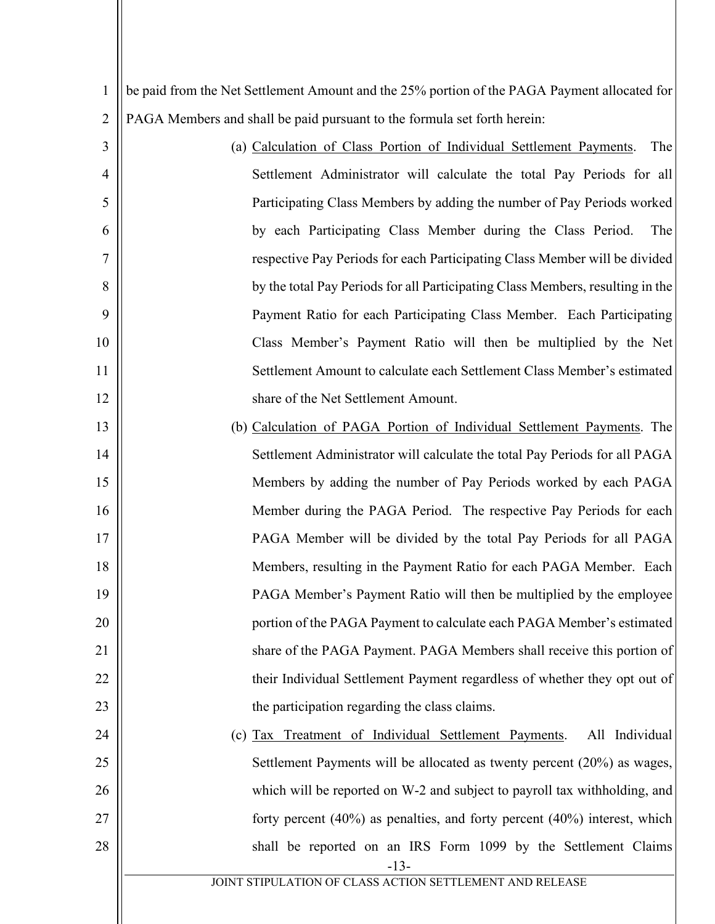| $\mathbf{1}$   | be paid from the Net Settlement Amount and the 25% portion of the PAGA Payment allocated for |  |
|----------------|----------------------------------------------------------------------------------------------|--|
| $\overline{2}$ | PAGA Members and shall be paid pursuant to the formula set forth herein:                     |  |
| 3              | (a) Calculation of Class Portion of Individual Settlement Payments.<br>The                   |  |
| 4              | Settlement Administrator will calculate the total Pay Periods for all                        |  |
| 5              | Participating Class Members by adding the number of Pay Periods worked                       |  |
| 6              | by each Participating Class Member during the Class Period.<br>The                           |  |
| 7              | respective Pay Periods for each Participating Class Member will be divided                   |  |
| 8              | by the total Pay Periods for all Participating Class Members, resulting in the               |  |
| 9              | Payment Ratio for each Participating Class Member. Each Participating                        |  |
| 10             | Class Member's Payment Ratio will then be multiplied by the Net                              |  |
| 11             | Settlement Amount to calculate each Settlement Class Member's estimated                      |  |
| 12             | share of the Net Settlement Amount.                                                          |  |
| 13             | (b) Calculation of PAGA Portion of Individual Settlement Payments. The                       |  |
| 14             | Settlement Administrator will calculate the total Pay Periods for all PAGA                   |  |
| 15             | Members by adding the number of Pay Periods worked by each PAGA                              |  |
| 16             | Member during the PAGA Period. The respective Pay Periods for each                           |  |
| 17             | PAGA Member will be divided by the total Pay Periods for all PAGA                            |  |
| 18             | Members, resulting in the Payment Ratio for each PAGA Member. Each                           |  |
| 19             | PAGA Member's Payment Ratio will then be multiplied by the employee                          |  |
| 20             | portion of the PAGA Payment to calculate each PAGA Member's estimated                        |  |
| 21             | share of the PAGA Payment. PAGA Members shall receive this portion of                        |  |
| 22             | their Individual Settlement Payment regardless of whether they opt out of                    |  |
| 23             | the participation regarding the class claims.                                                |  |
| 24             | All Individual<br>(c) Tax Treatment of Individual Settlement Payments.                       |  |
| 25             | Settlement Payments will be allocated as twenty percent (20%) as wages,                      |  |
| 26             | which will be reported on W-2 and subject to payroll tax with holding, and                   |  |
| 27             | forty percent $(40\%)$ as penalties, and forty percent $(40\%)$ interest, which              |  |
| 28             | shall be reported on an IRS Form 1099 by the Settlement Claims<br>$-13-$                     |  |
|                | JOINT STIPULATION OF CLASS ACTION SETTLEMENT AND RELEASE                                     |  |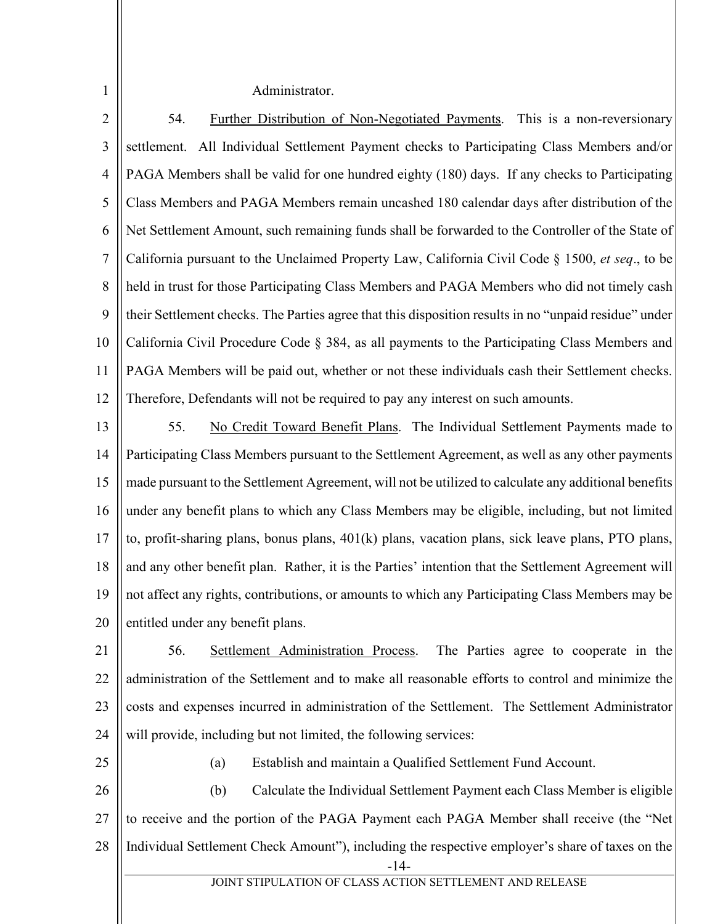Administrator.

2 3 4 5 6 7 8 9 10 11 12 54. Further Distribution of Non-Negotiated Payments. This is a non-reversionary settlement. All Individual Settlement Payment checks to Participating Class Members and/or PAGA Members shall be valid for one hundred eighty (180) days. If any checks to Participating Class Members and PAGA Members remain uncashed 180 calendar days after distribution of the Net Settlement Amount, such remaining funds shall be forwarded to the Controller of the State of California pursuant to the Unclaimed Property Law, California Civil Code § 1500, *et seq*., to be held in trust for those Participating Class Members and PAGA Members who did not timely cash their Settlement checks. The Parties agree that this disposition results in no "unpaid residue" under California Civil Procedure Code § 384, as all payments to the Participating Class Members and PAGA Members will be paid out, whether or not these individuals cash their Settlement checks. Therefore, Defendants will not be required to pay any interest on such amounts.

13

1

14 15 16 17 18 19 20 55. No Credit Toward Benefit Plans. The Individual Settlement Payments made to Participating Class Members pursuant to the Settlement Agreement, as well as any other payments made pursuant to the Settlement Agreement, will not be utilized to calculate any additional benefits under any benefit plans to which any Class Members may be eligible, including, but not limited to, profit-sharing plans, bonus plans, 401(k) plans, vacation plans, sick leave plans, PTO plans, and any other benefit plan. Rather, it is the Parties' intention that the Settlement Agreement will not affect any rights, contributions, or amounts to which any Participating Class Members may be entitled under any benefit plans.

21 22 23 24 56. Settlement Administration Process. The Parties agree to cooperate in the administration of the Settlement and to make all reasonable efforts to control and minimize the costs and expenses incurred in administration of the Settlement. The Settlement Administrator will provide, including but not limited, the following services:

25

(a) Establish and maintain a Qualified Settlement Fund Account.

-14- 26 27 28 (b) Calculate the Individual Settlement Payment each Class Member is eligible to receive and the portion of the PAGA Payment each PAGA Member shall receive (the "Net Individual Settlement Check Amount"), including the respective employer's share of taxes on the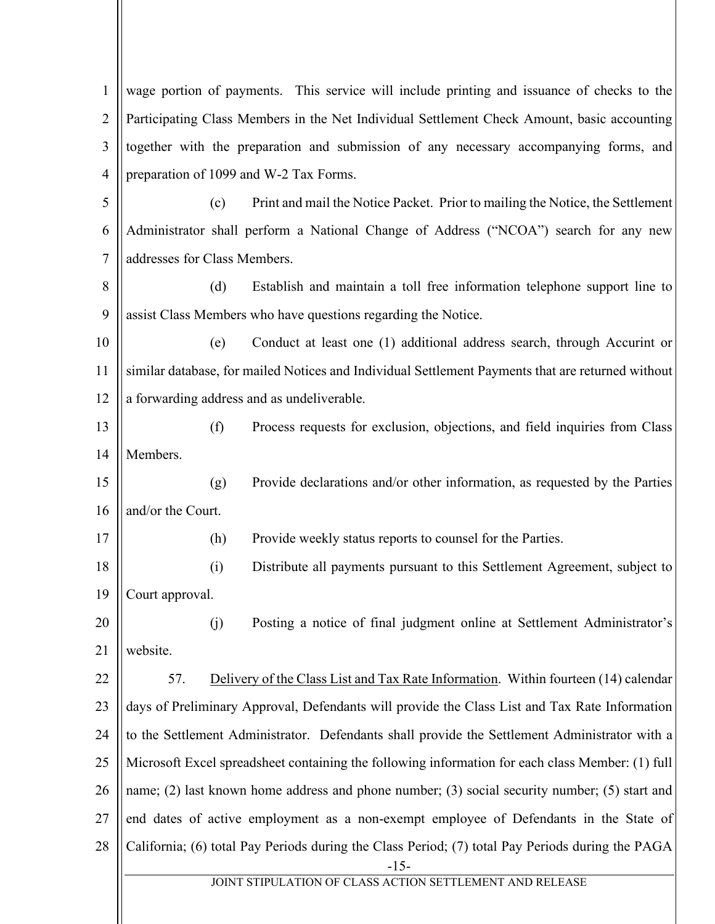-15- JOINT STIPULATION OF CLASS ACTION SETTLEMENT AND RELEASE 1 2 3 4 5 6 7 8 9 10 11 12 13 14 15 16 17 18 19 20 21 22 23 24 25 26 27 28 wage portion of payments. This service will include printing and issuance of checks to the Participating Class Members in the Net Individual Settlement Check Amount, basic accounting together with the preparation and submission of any necessary accompanying forms, and preparation of 1099 and W-2 Tax Forms. (c) Print and mail the Notice Packet. Prior to mailing the Notice, the Settlement Administrator shall perform a National Change of Address ("NCOA") search for any new addresses for Class Members. (d) Establish and maintain a toll free information telephone support line to assist Class Members who have questions regarding the Notice. (e) Conduct at least one (1) additional address search, through Accurint or similar database, for mailed Notices and Individual Settlement Payments that are returned without a forwarding address and as undeliverable. (f) Process requests for exclusion, objections, and field inquiries from Class Members. (g) Provide declarations and/or other information, as requested by the Parties and/or the Court. (h) Provide weekly status reports to counsel for the Parties. (i) Distribute all payments pursuant to this Settlement Agreement, subject to Court approval. (j) Posting a notice of final judgment online at Settlement Administrator's website. 57. Delivery of the Class List and Tax Rate Information. Within fourteen (14) calendar days of Preliminary Approval, Defendants will provide the Class List and Tax Rate Information to the Settlement Administrator. Defendants shall provide the Settlement Administrator with a Microsoft Excel spreadsheet containing the following information for each class Member: (1) full name; (2) last known home address and phone number; (3) social security number; (5) start and end dates of active employment as a non-exempt employee of Defendants in the State of California; (6) total Pay Periods during the Class Period; (7) total Pay Periods during the PAGA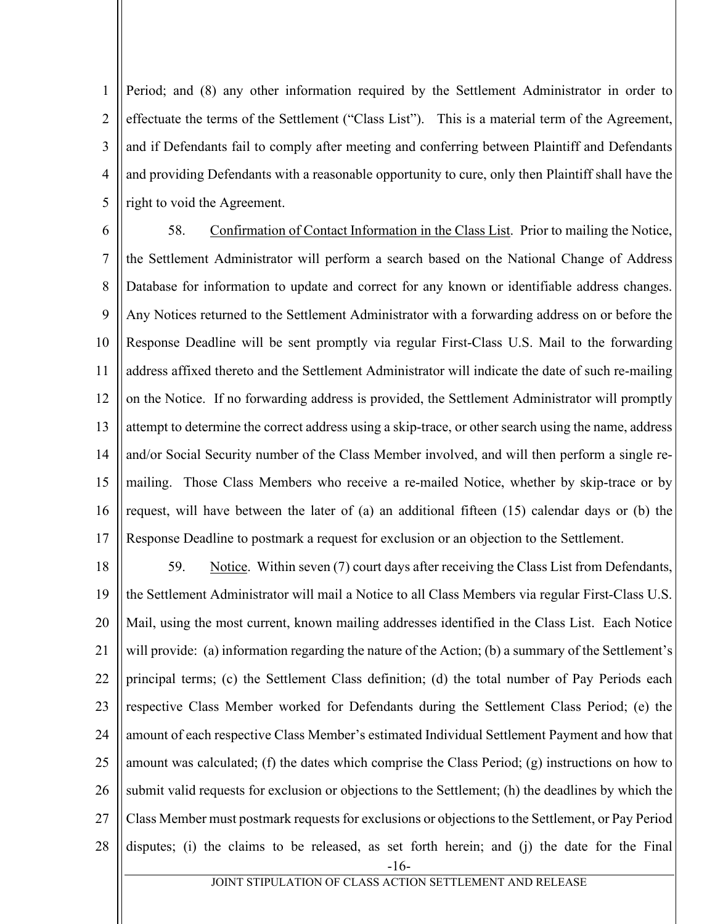1 2 3 4 5 Period; and (8) any other information required by the Settlement Administrator in order to effectuate the terms of the Settlement ("Class List"). This is a material term of the Agreement, and if Defendants fail to comply after meeting and conferring between Plaintiff and Defendants and providing Defendants with a reasonable opportunity to cure, only then Plaintiff shall have the right to void the Agreement.

6 7 8 9 10 11 12 13 14 15 16 17 58. Confirmation of Contact Information in the Class List. Prior to mailing the Notice, the Settlement Administrator will perform a search based on the National Change of Address Database for information to update and correct for any known or identifiable address changes. Any Notices returned to the Settlement Administrator with a forwarding address on or before the Response Deadline will be sent promptly via regular First-Class U.S. Mail to the forwarding address affixed thereto and the Settlement Administrator will indicate the date of such re-mailing on the Notice. If no forwarding address is provided, the Settlement Administrator will promptly attempt to determine the correct address using a skip-trace, or other search using the name, address and/or Social Security number of the Class Member involved, and will then perform a single remailing. Those Class Members who receive a re-mailed Notice, whether by skip-trace or by request, will have between the later of (a) an additional fifteen (15) calendar days or (b) the Response Deadline to postmark a request for exclusion or an objection to the Settlement.

-16- 18 19 20 21 22 23 24 25 26 27 28 59. Notice. Within seven (7) court days after receiving the Class List from Defendants, the Settlement Administrator will mail a Notice to all Class Members via regular First-Class U.S. Mail, using the most current, known mailing addresses identified in the Class List. Each Notice will provide: (a) information regarding the nature of the Action; (b) a summary of the Settlement's principal terms; (c) the Settlement Class definition; (d) the total number of Pay Periods each respective Class Member worked for Defendants during the Settlement Class Period; (e) the amount of each respective Class Member's estimated Individual Settlement Payment and how that amount was calculated; (f) the dates which comprise the Class Period; (g) instructions on how to submit valid requests for exclusion or objections to the Settlement; (h) the deadlines by which the Class Member must postmark requests for exclusions or objections to the Settlement, or Pay Period disputes; (i) the claims to be released, as set forth herein; and (j) the date for the Final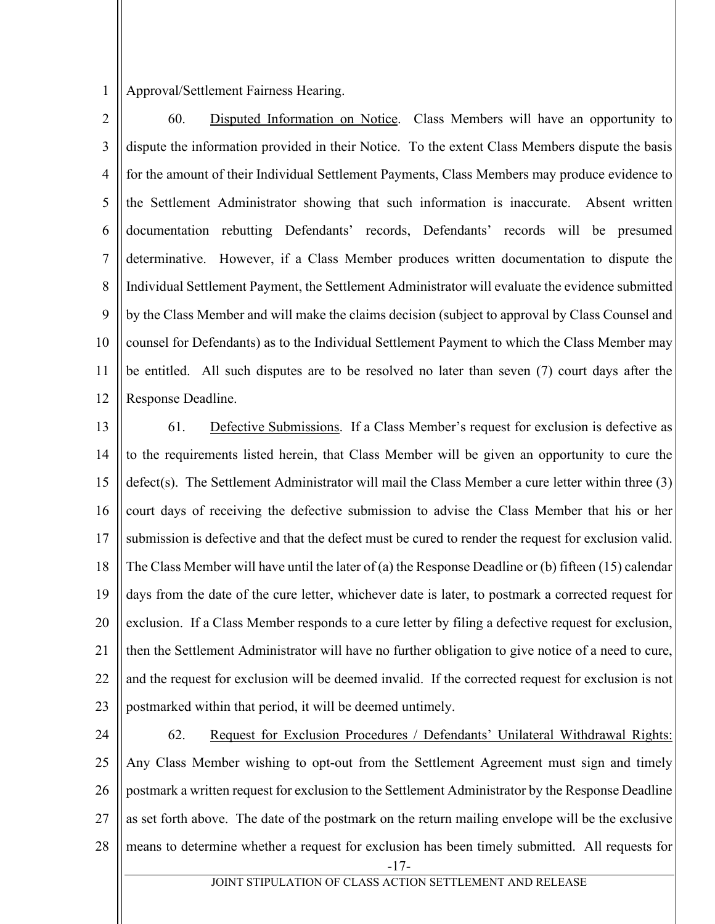1 Approval/Settlement Fairness Hearing.

2 3 4 5 6 7 8 9 10 11 12 60. Disputed Information on Notice. Class Members will have an opportunity to dispute the information provided in their Notice. To the extent Class Members dispute the basis for the amount of their Individual Settlement Payments, Class Members may produce evidence to the Settlement Administrator showing that such information is inaccurate. Absent written documentation rebutting Defendants' records, Defendants' records will be presumed determinative. However, if a Class Member produces written documentation to dispute the Individual Settlement Payment, the Settlement Administrator will evaluate the evidence submitted by the Class Member and will make the claims decision (subject to approval by Class Counsel and counsel for Defendants) as to the Individual Settlement Payment to which the Class Member may be entitled. All such disputes are to be resolved no later than seven (7) court days after the Response Deadline.

13 14 15 16 17 18 19 20 21 22 23 61. Defective Submissions. If a Class Member's request for exclusion is defective as to the requirements listed herein, that Class Member will be given an opportunity to cure the defect(s). The Settlement Administrator will mail the Class Member a cure letter within three (3) court days of receiving the defective submission to advise the Class Member that his or her submission is defective and that the defect must be cured to render the request for exclusion valid. The Class Member will have until the later of (a) the Response Deadline or (b) fifteen (15) calendar days from the date of the cure letter, whichever date is later, to postmark a corrected request for exclusion. If a Class Member responds to a cure letter by filing a defective request for exclusion, then the Settlement Administrator will have no further obligation to give notice of a need to cure, and the request for exclusion will be deemed invalid. If the corrected request for exclusion is not postmarked within that period, it will be deemed untimely.

-17- 24 25 26 27 28 62. Request for Exclusion Procedures / Defendants' Unilateral Withdrawal Rights: Any Class Member wishing to opt-out from the Settlement Agreement must sign and timely postmark a written request for exclusion to the Settlement Administrator by the Response Deadline as set forth above. The date of the postmark on the return mailing envelope will be the exclusive means to determine whether a request for exclusion has been timely submitted. All requests for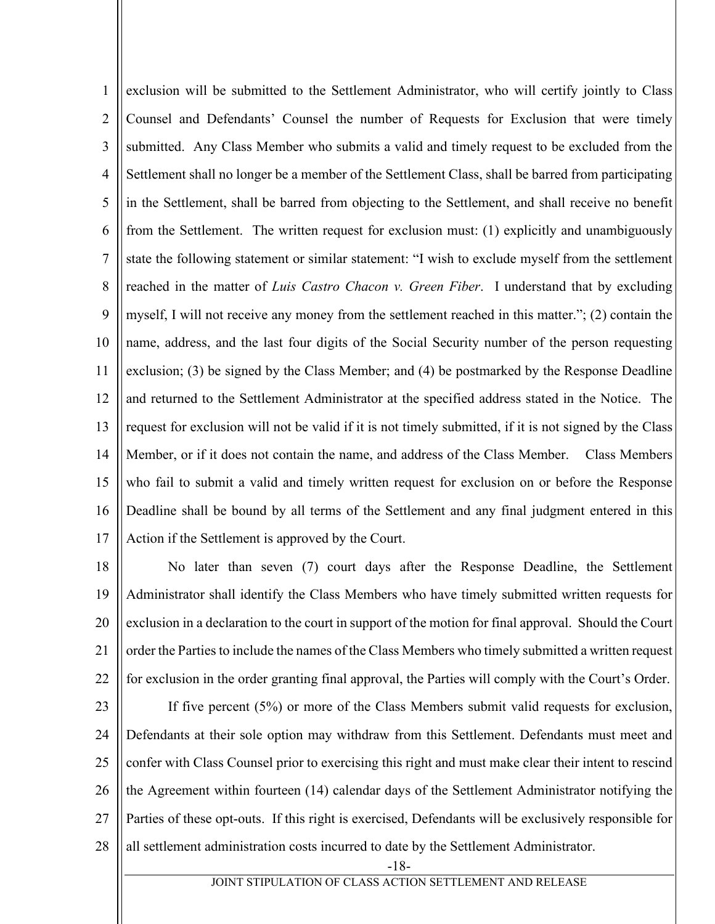1 2 3 4 5 6 7 8 9 10 11 12 13 14 15 16 17 exclusion will be submitted to the Settlement Administrator, who will certify jointly to Class Counsel and Defendants' Counsel the number of Requests for Exclusion that were timely submitted. Any Class Member who submits a valid and timely request to be excluded from the Settlement shall no longer be a member of the Settlement Class, shall be barred from participating in the Settlement, shall be barred from objecting to the Settlement, and shall receive no benefit from the Settlement. The written request for exclusion must: (1) explicitly and unambiguously state the following statement or similar statement: "I wish to exclude myself from the settlement reached in the matter of *Luis Castro Chacon v. Green Fiber*. I understand that by excluding myself, I will not receive any money from the settlement reached in this matter."; (2) contain the name, address, and the last four digits of the Social Security number of the person requesting exclusion; (3) be signed by the Class Member; and (4) be postmarked by the Response Deadline and returned to the Settlement Administrator at the specified address stated in the Notice. The request for exclusion will not be valid if it is not timely submitted, if it is not signed by the Class Member, or if it does not contain the name, and address of the Class Member. Class Members who fail to submit a valid and timely written request for exclusion on or before the Response Deadline shall be bound by all terms of the Settlement and any final judgment entered in this Action if the Settlement is approved by the Court.

18 19 20 21 22 No later than seven (7) court days after the Response Deadline, the Settlement Administrator shall identify the Class Members who have timely submitted written requests for exclusion in a declaration to the court in support of the motion for final approval. Should the Court order the Parties to include the names of the Class Members who timely submitted a written request for exclusion in the order granting final approval, the Parties will comply with the Court's Order.

23 24 25 26 27 28 If five percent (5%) or more of the Class Members submit valid requests for exclusion, Defendants at their sole option may withdraw from this Settlement. Defendants must meet and confer with Class Counsel prior to exercising this right and must make clear their intent to rescind the Agreement within fourteen (14) calendar days of the Settlement Administrator notifying the Parties of these opt-outs. If this right is exercised, Defendants will be exclusively responsible for all settlement administration costs incurred to date by the Settlement Administrator.

-18-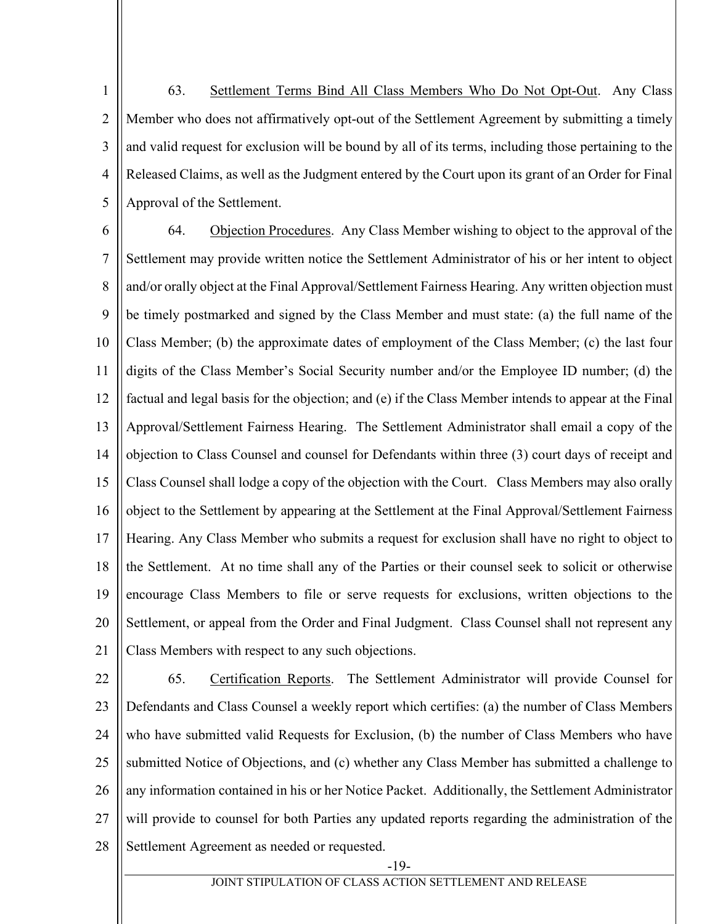1 2 3 4 5 63. Settlement Terms Bind All Class Members Who Do Not Opt-Out. Any Class Member who does not affirmatively opt-out of the Settlement Agreement by submitting a timely and valid request for exclusion will be bound by all of its terms, including those pertaining to the Released Claims, as well as the Judgment entered by the Court upon its grant of an Order for Final Approval of the Settlement.

64. Objection Procedures. Any Class Member wishing to object to the approval of the

6

7 8 9 10 11 12 13 14 15 16 17 18 19 20 21 Settlement may provide written notice the Settlement Administrator of his or her intent to object and/or orally object at the Final Approval/Settlement Fairness Hearing. Any written objection must be timely postmarked and signed by the Class Member and must state: (a) the full name of the Class Member; (b) the approximate dates of employment of the Class Member; (c) the last four digits of the Class Member's Social Security number and/or the Employee ID number; (d) the factual and legal basis for the objection; and (e) if the Class Member intends to appear at the Final Approval/Settlement Fairness Hearing. The Settlement Administrator shall email a copy of the objection to Class Counsel and counsel for Defendants within three (3) court days of receipt and Class Counsel shall lodge a copy of the objection with the Court. Class Members may also orally object to the Settlement by appearing at the Settlement at the Final Approval/Settlement Fairness Hearing. Any Class Member who submits a request for exclusion shall have no right to object to the Settlement. At no time shall any of the Parties or their counsel seek to solicit or otherwise encourage Class Members to file or serve requests for exclusions, written objections to the Settlement, or appeal from the Order and Final Judgment. Class Counsel shall not represent any Class Members with respect to any such objections.

22 23 24 25 26 27 28 65. Certification Reports. The Settlement Administrator will provide Counsel for Defendants and Class Counsel a weekly report which certifies: (a) the number of Class Members who have submitted valid Requests for Exclusion, (b) the number of Class Members who have submitted Notice of Objections, and (c) whether any Class Member has submitted a challenge to any information contained in his or her Notice Packet. Additionally, the Settlement Administrator will provide to counsel for both Parties any updated reports regarding the administration of the Settlement Agreement as needed or requested.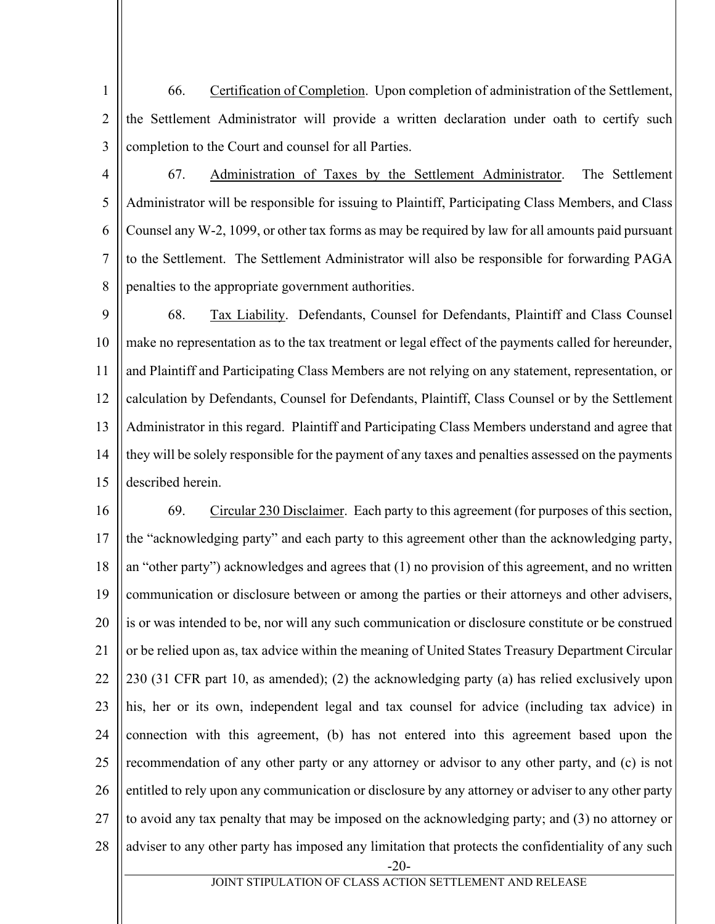1 2 3 66. Certification of Completion. Upon completion of administration of the Settlement, the Settlement Administrator will provide a written declaration under oath to certify such completion to the Court and counsel for all Parties.

4 5 6 7 8 67. Administration of Taxes by the Settlement Administrator. The Settlement Administrator will be responsible for issuing to Plaintiff, Participating Class Members, and Class Counsel any W-2, 1099, or other tax forms as may be required by law for all amounts paid pursuant to the Settlement. The Settlement Administrator will also be responsible for forwarding PAGA penalties to the appropriate government authorities.

9 10 11 12 13 14 15 68. Tax Liability. Defendants, Counsel for Defendants, Plaintiff and Class Counsel make no representation as to the tax treatment or legal effect of the payments called for hereunder, and Plaintiff and Participating Class Members are not relying on any statement, representation, or calculation by Defendants, Counsel for Defendants, Plaintiff, Class Counsel or by the Settlement Administrator in this regard. Plaintiff and Participating Class Members understand and agree that they will be solely responsible for the payment of any taxes and penalties assessed on the payments described herein.

-20- 16 17 18 19 20 21 22 23 24 25 26 27 28 69. Circular 230 Disclaimer. Each party to this agreement (for purposes of this section, the "acknowledging party" and each party to this agreement other than the acknowledging party, an "other party") acknowledges and agrees that (1) no provision of this agreement, and no written communication or disclosure between or among the parties or their attorneys and other advisers, is or was intended to be, nor will any such communication or disclosure constitute or be construed or be relied upon as, tax advice within the meaning of United States Treasury Department Circular 230 (31 CFR part 10, as amended); (2) the acknowledging party (a) has relied exclusively upon his, her or its own, independent legal and tax counsel for advice (including tax advice) in connection with this agreement, (b) has not entered into this agreement based upon the recommendation of any other party or any attorney or advisor to any other party, and (c) is not entitled to rely upon any communication or disclosure by any attorney or adviser to any other party to avoid any tax penalty that may be imposed on the acknowledging party; and (3) no attorney or adviser to any other party has imposed any limitation that protects the confidentiality of any such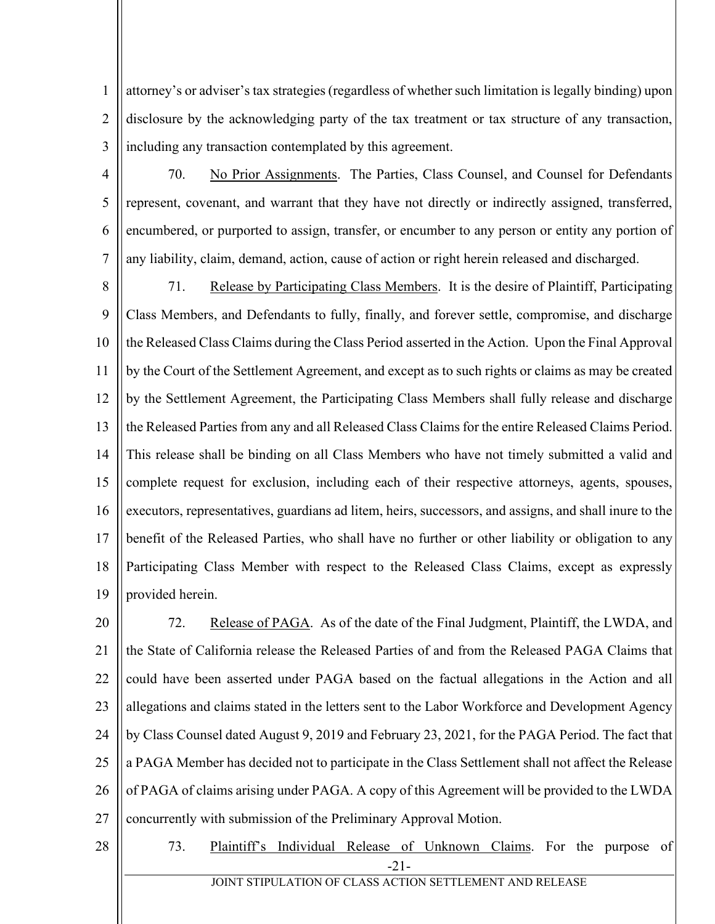1 2 3 attorney's or adviser's tax strategies (regardless of whether such limitation is legally binding) upon disclosure by the acknowledging party of the tax treatment or tax structure of any transaction, including any transaction contemplated by this agreement.

4

5

6

7

70. No Prior Assignments. The Parties, Class Counsel, and Counsel for Defendants represent, covenant, and warrant that they have not directly or indirectly assigned, transferred, encumbered, or purported to assign, transfer, or encumber to any person or entity any portion of any liability, claim, demand, action, cause of action or right herein released and discharged.

8 9 10 11 12 13 14 15 16 17 18 19 71. Release by Participating Class Members. It is the desire of Plaintiff, Participating Class Members, and Defendants to fully, finally, and forever settle, compromise, and discharge the Released Class Claims during the Class Period asserted in the Action. Upon the Final Approval by the Court of the Settlement Agreement, and except as to such rights or claims as may be created by the Settlement Agreement, the Participating Class Members shall fully release and discharge the Released Parties from any and all Released Class Claims for the entire Released Claims Period. This release shall be binding on all Class Members who have not timely submitted a valid and complete request for exclusion, including each of their respective attorneys, agents, spouses, executors, representatives, guardians ad litem, heirs, successors, and assigns, and shall inure to the benefit of the Released Parties, who shall have no further or other liability or obligation to any Participating Class Member with respect to the Released Class Claims, except as expressly provided herein.

20 21 22 23 24 25 26 27 72. Release of PAGA. As of the date of the Final Judgment, Plaintiff, the LWDA, and the State of California release the Released Parties of and from the Released PAGA Claims that could have been asserted under PAGA based on the factual allegations in the Action and all allegations and claims stated in the letters sent to the Labor Workforce and Development Agency by Class Counsel dated August 9, 2019 and February 23, 2021, for the PAGA Period. The fact that a PAGA Member has decided not to participate in the Class Settlement shall not affect the Release of PAGA of claims arising under PAGA. A copy of this Agreement will be provided to the LWDA concurrently with submission of the Preliminary Approval Motion.

28

-21- 73. Plaintiff's Individual Release of Unknown Claims. For the purpose of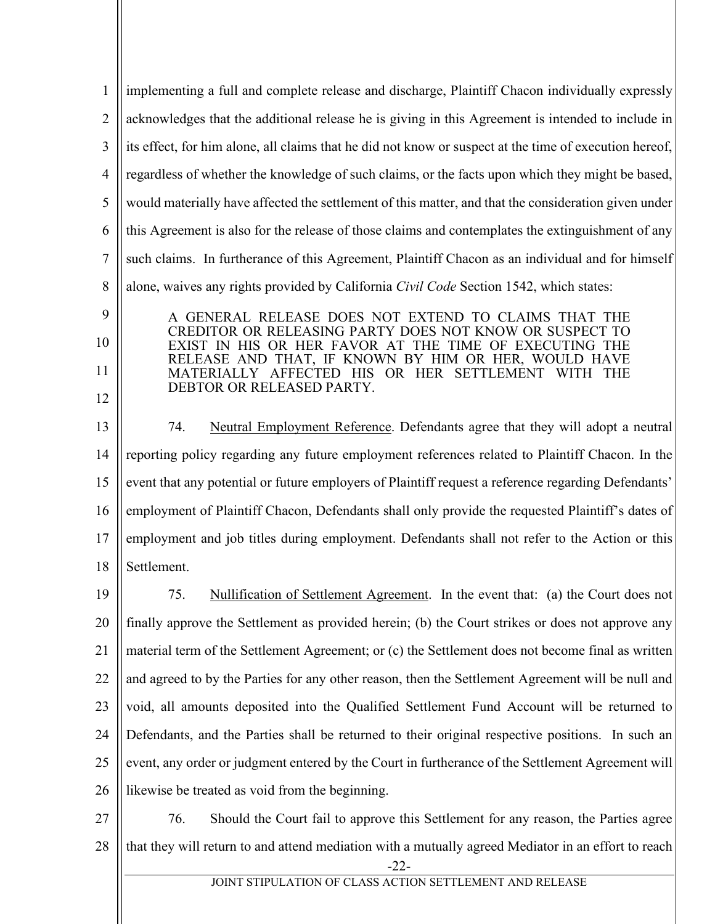| $\mathbf{1}$   | implementing a full and complete release and discharge, Plaintiff Chacon individually expressly                                                                           |  |
|----------------|---------------------------------------------------------------------------------------------------------------------------------------------------------------------------|--|
| $\overline{2}$ | acknowledges that the additional release he is giving in this Agreement is intended to include in                                                                         |  |
| 3              | its effect, for him alone, all claims that he did not know or suspect at the time of execution hereof,                                                                    |  |
| $\overline{4}$ | regardless of whether the knowledge of such claims, or the facts upon which they might be based,                                                                          |  |
| 5              | would materially have affected the settlement of this matter, and that the consideration given under                                                                      |  |
| 6              | this Agreement is also for the release of those claims and contemplates the extinguishment of any                                                                         |  |
| $\tau$         | such claims. In furtherance of this Agreement, Plaintiff Chacon as an individual and for himself                                                                          |  |
| 8              | alone, waives any rights provided by California Civil Code Section 1542, which states:                                                                                    |  |
| 9              | A GENERAL RELEASE DOES NOT EXTEND TO CLAIMS THAT THE                                                                                                                      |  |
| 10             | CREDITOR OR RELEASING PARTY DOES NOT KNOW OR SUSPECT TO<br>EXIST IN HIS OR HER FAVOR AT THE TIME OF EXECUTING THE                                                         |  |
| 11             | RELEASE AND THAT, IF KNOWN BY HIM OR HER, WOULD HAVE<br>MATERIALLY AFFECTED HIS OR HER SETTLEMENT WITH THE                                                                |  |
| 12             | DEBTOR OR RELEASED PARTY.                                                                                                                                                 |  |
| 13             | Neutral Employment Reference. Defendants agree that they will adopt a neutral<br>74.                                                                                      |  |
| 14             | reporting policy regarding any future employment references related to Plaintiff Chacon. In the                                                                           |  |
| 15             | event that any potential or future employers of Plaintiff request a reference regarding Defendants'                                                                       |  |
| 16             | employment of Plaintiff Chacon, Defendants shall only provide the requested Plaintiff's dates of                                                                          |  |
| 17             | employment and job titles during employment. Defendants shall not refer to the Action or this                                                                             |  |
| 18             | Settlement.                                                                                                                                                               |  |
| 19             | Nullification of Settlement Agreement. In the event that: (a) the Court does not<br>75.                                                                                   |  |
| 20             | finally approve the Settlement as provided herein; (b) the Court strikes or does not approve any                                                                          |  |
| 21             | material term of the Settlement Agreement; or (c) the Settlement does not become final as written                                                                         |  |
| 22             | and agreed to by the Parties for any other reason, then the Settlement Agreement will be null and                                                                         |  |
| 23             | void, all amounts deposited into the Qualified Settlement Fund Account will be returned to                                                                                |  |
| 24             | Defendants, and the Parties shall be returned to their original respective positions. In such an                                                                          |  |
| 25             | event, any order or judgment entered by the Court in furtherance of the Settlement Agreement will                                                                         |  |
| 26             | likewise be treated as void from the beginning.                                                                                                                           |  |
| 27             | 76.<br>Should the Court fail to approve this Settlement for any reason, the Parties agree                                                                                 |  |
| 28             | that they will return to and attend mediation with a mutually agreed Mediator in an effort to reach<br>$-22-$<br>JOINT STIPULATION OF CLASS ACTION SETTLEMENT AND RELEASE |  |
|                |                                                                                                                                                                           |  |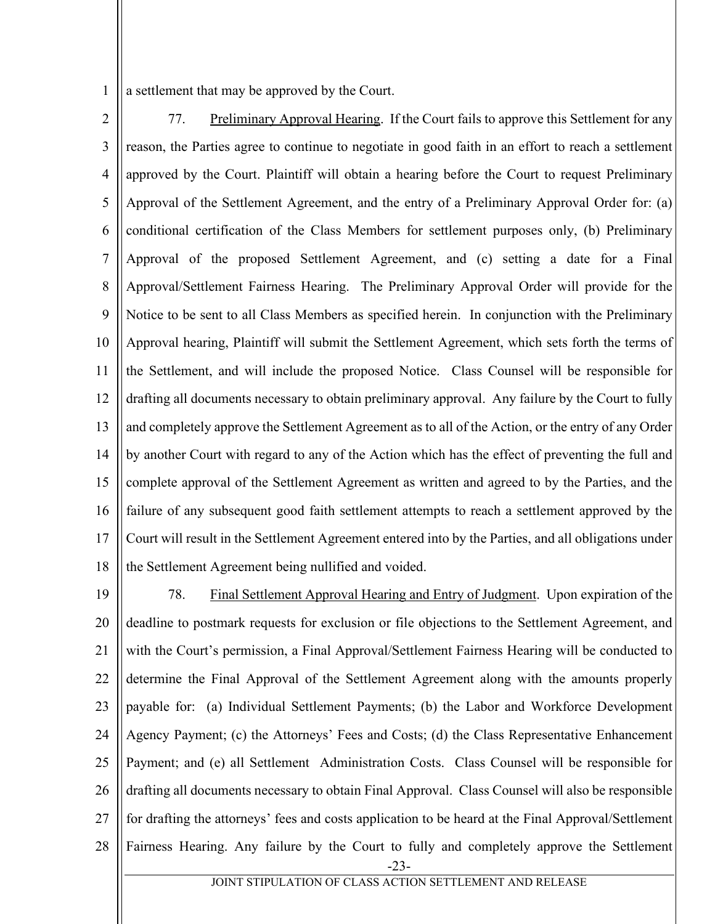1 a settlement that may be approved by the Court.

- 2 3 4 5 6 7 8 9 10 11 12 13 14 15 16 17 18 77. Preliminary Approval Hearing. If the Court fails to approve this Settlement for any reason, the Parties agree to continue to negotiate in good faith in an effort to reach a settlement approved by the Court. Plaintiff will obtain a hearing before the Court to request Preliminary Approval of the Settlement Agreement, and the entry of a Preliminary Approval Order for: (a) conditional certification of the Class Members for settlement purposes only, (b) Preliminary Approval of the proposed Settlement Agreement, and (c) setting a date for a Final Approval/Settlement Fairness Hearing. The Preliminary Approval Order will provide for the Notice to be sent to all Class Members as specified herein. In conjunction with the Preliminary Approval hearing, Plaintiff will submit the Settlement Agreement, which sets forth the terms of the Settlement, and will include the proposed Notice. Class Counsel will be responsible for drafting all documents necessary to obtain preliminary approval. Any failure by the Court to fully and completely approve the Settlement Agreement as to all of the Action, or the entry of any Order by another Court with regard to any of the Action which has the effect of preventing the full and complete approval of the Settlement Agreement as written and agreed to by the Parties, and the failure of any subsequent good faith settlement attempts to reach a settlement approved by the Court will result in the Settlement Agreement entered into by the Parties, and all obligations under the Settlement Agreement being nullified and voided.
- -23- 19 20 21 22 23 24 25 26 27 28 78. Final Settlement Approval Hearing and Entry of Judgment. Upon expiration of the deadline to postmark requests for exclusion or file objections to the Settlement Agreement, and with the Court's permission, a Final Approval/Settlement Fairness Hearing will be conducted to determine the Final Approval of the Settlement Agreement along with the amounts properly payable for: (a) Individual Settlement Payments; (b) the Labor and Workforce Development Agency Payment; (c) the Attorneys' Fees and Costs; (d) the Class Representative Enhancement Payment; and (e) all Settlement Administration Costs. Class Counsel will be responsible for drafting all documents necessary to obtain Final Approval. Class Counsel will also be responsible for drafting the attorneys' fees and costs application to be heard at the Final Approval/Settlement Fairness Hearing. Any failure by the Court to fully and completely approve the Settlement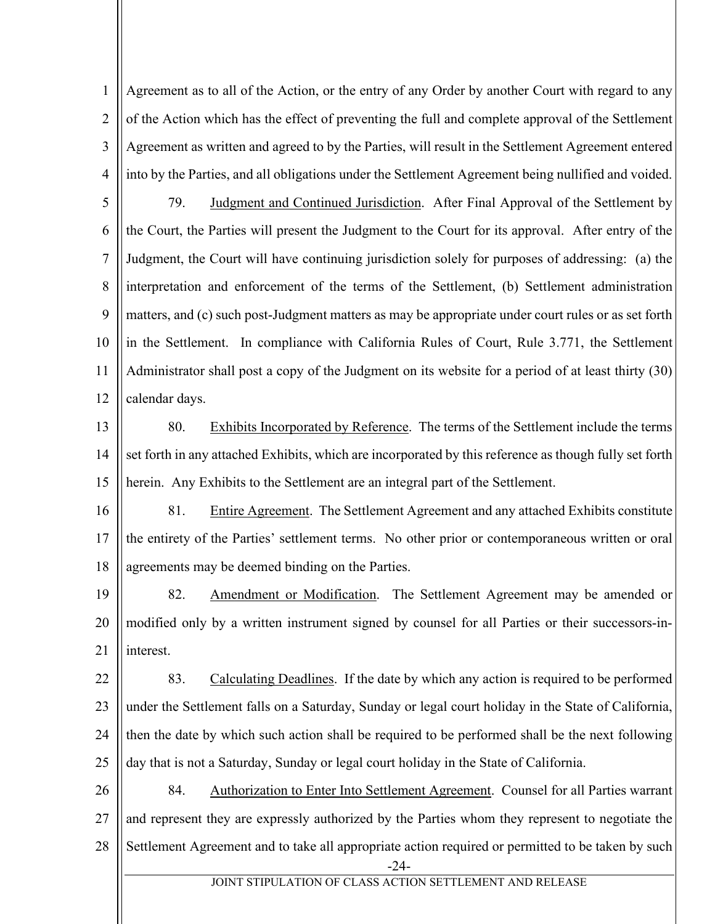1 2 3 4 Agreement as to all of the Action, or the entry of any Order by another Court with regard to any of the Action which has the effect of preventing the full and complete approval of the Settlement Agreement as written and agreed to by the Parties, will result in the Settlement Agreement entered into by the Parties, and all obligations under the Settlement Agreement being nullified and voided.

5 6 7 8 9 10 11 12 79. Judgment and Continued Jurisdiction. After Final Approval of the Settlement by the Court, the Parties will present the Judgment to the Court for its approval. After entry of the Judgment, the Court will have continuing jurisdiction solely for purposes of addressing: (a) the interpretation and enforcement of the terms of the Settlement, (b) Settlement administration matters, and (c) such post-Judgment matters as may be appropriate under court rules or as set forth in the Settlement. In compliance with California Rules of Court, Rule 3.771, the Settlement Administrator shall post a copy of the Judgment on its website for a period of at least thirty (30) calendar days.

13

14 15 80. Exhibits Incorporated by Reference. The terms of the Settlement include the terms set forth in any attached Exhibits, which are incorporated by this reference as though fully set forth herein. Any Exhibits to the Settlement are an integral part of the Settlement.

16 17 18 81. Entire Agreement. The Settlement Agreement and any attached Exhibits constitute the entirety of the Parties' settlement terms. No other prior or contemporaneous written or oral agreements may be deemed binding on the Parties.

19 20 21 82. Amendment or Modification. The Settlement Agreement may be amended or modified only by a written instrument signed by counsel for all Parties or their successors-ininterest.

22 23 24 25 83. Calculating Deadlines. If the date by which any action is required to be performed under the Settlement falls on a Saturday, Sunday or legal court holiday in the State of California, then the date by which such action shall be required to be performed shall be the next following day that is not a Saturday, Sunday or legal court holiday in the State of California.

-24- 26 27 28 84. Authorization to Enter Into Settlement Agreement. Counsel for all Parties warrant and represent they are expressly authorized by the Parties whom they represent to negotiate the Settlement Agreement and to take all appropriate action required or permitted to be taken by such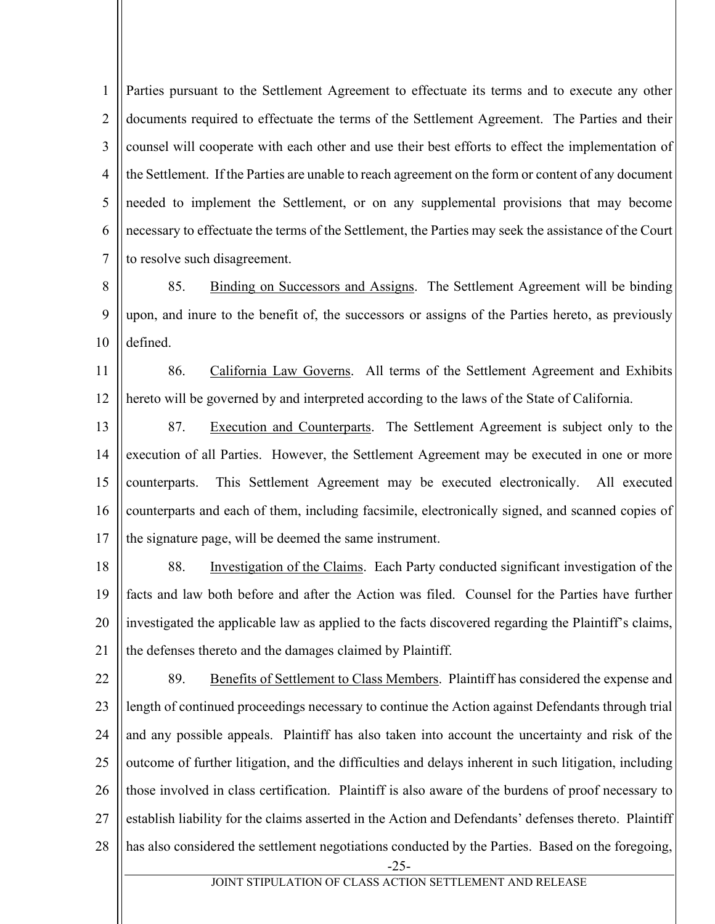1 2 3 4 5 6 7 Parties pursuant to the Settlement Agreement to effectuate its terms and to execute any other documents required to effectuate the terms of the Settlement Agreement. The Parties and their counsel will cooperate with each other and use their best efforts to effect the implementation of the Settlement. If the Parties are unable to reach agreement on the form or content of any document needed to implement the Settlement, or on any supplemental provisions that may become necessary to effectuate the terms of the Settlement, the Parties may seek the assistance of the Court to resolve such disagreement.

8 9 10 85. Binding on Successors and Assigns. The Settlement Agreement will be binding upon, and inure to the benefit of, the successors or assigns of the Parties hereto, as previously defined.

11 12 86. California Law Governs. All terms of the Settlement Agreement and Exhibits hereto will be governed by and interpreted according to the laws of the State of California.

13 14 15 16 17 87. Execution and Counterparts. The Settlement Agreement is subject only to the execution of all Parties. However, the Settlement Agreement may be executed in one or more counterparts. This Settlement Agreement may be executed electronically. All executed counterparts and each of them, including facsimile, electronically signed, and scanned copies of the signature page, will be deemed the same instrument.

18 19 20 21 88. Investigation of the Claims. Each Party conducted significant investigation of the facts and law both before and after the Action was filed. Counsel for the Parties have further investigated the applicable law as applied to the facts discovered regarding the Plaintiff's claims, the defenses thereto and the damages claimed by Plaintiff.

22 23 24 25 26 27 28 89. Benefits of Settlement to Class Members. Plaintiff has considered the expense and length of continued proceedings necessary to continue the Action against Defendants through trial and any possible appeals. Plaintiff has also taken into account the uncertainty and risk of the outcome of further litigation, and the difficulties and delays inherent in such litigation, including those involved in class certification. Plaintiff is also aware of the burdens of proof necessary to establish liability for the claims asserted in the Action and Defendants' defenses thereto. Plaintiff has also considered the settlement negotiations conducted by the Parties. Based on the foregoing,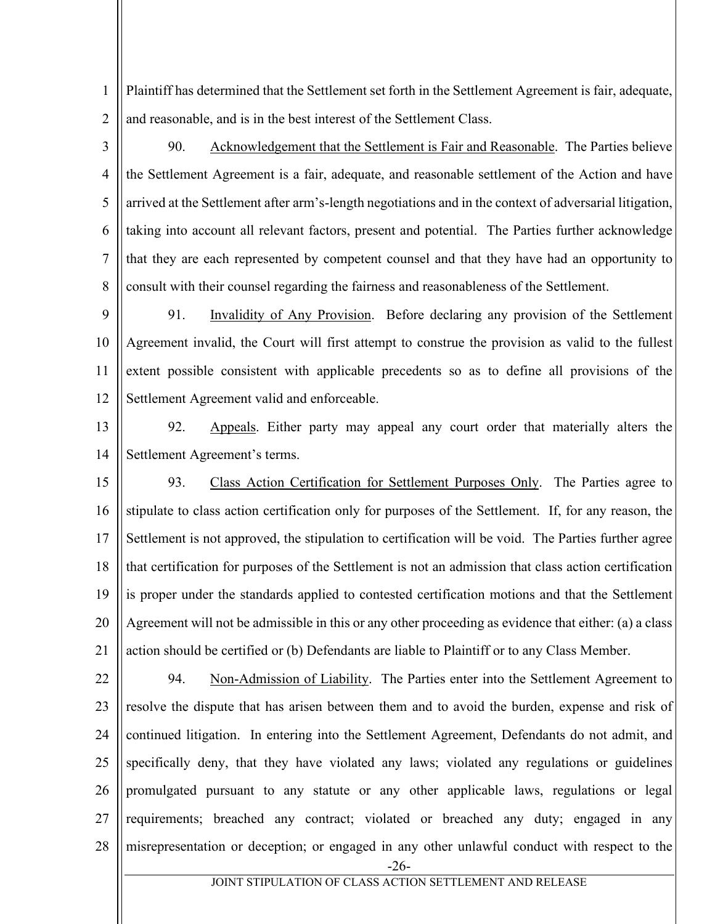1 2 Plaintiff has determined that the Settlement set forth in the Settlement Agreement is fair, adequate, and reasonable, and is in the best interest of the Settlement Class.

3

4 5 6 7 8 90. Acknowledgement that the Settlement is Fair and Reasonable. The Parties believe the Settlement Agreement is a fair, adequate, and reasonable settlement of the Action and have arrived at the Settlement after arm's-length negotiations and in the context of adversarial litigation, taking into account all relevant factors, present and potential. The Parties further acknowledge that they are each represented by competent counsel and that they have had an opportunity to consult with their counsel regarding the fairness and reasonableness of the Settlement.

9 10 11 12 91. Invalidity of Any Provision. Before declaring any provision of the Settlement Agreement invalid, the Court will first attempt to construe the provision as valid to the fullest extent possible consistent with applicable precedents so as to define all provisions of the Settlement Agreement valid and enforceable.

13

14

92. Appeals. Either party may appeal any court order that materially alters the Settlement Agreement's terms.

15 16 17 18 19 20 21 93. Class Action Certification for Settlement Purposes Only. The Parties agree to stipulate to class action certification only for purposes of the Settlement. If, for any reason, the Settlement is not approved, the stipulation to certification will be void. The Parties further agree that certification for purposes of the Settlement is not an admission that class action certification is proper under the standards applied to contested certification motions and that the Settlement Agreement will not be admissible in this or any other proceeding as evidence that either: (a) a class action should be certified or (b) Defendants are liable to Plaintiff or to any Class Member.

22 23 24 25 26 27 28 94. Non-Admission of Liability. The Parties enter into the Settlement Agreement to resolve the dispute that has arisen between them and to avoid the burden, expense and risk of continued litigation. In entering into the Settlement Agreement, Defendants do not admit, and specifically deny, that they have violated any laws; violated any regulations or guidelines promulgated pursuant to any statute or any other applicable laws, regulations or legal requirements; breached any contract; violated or breached any duty; engaged in any misrepresentation or deception; or engaged in any other unlawful conduct with respect to the

-26-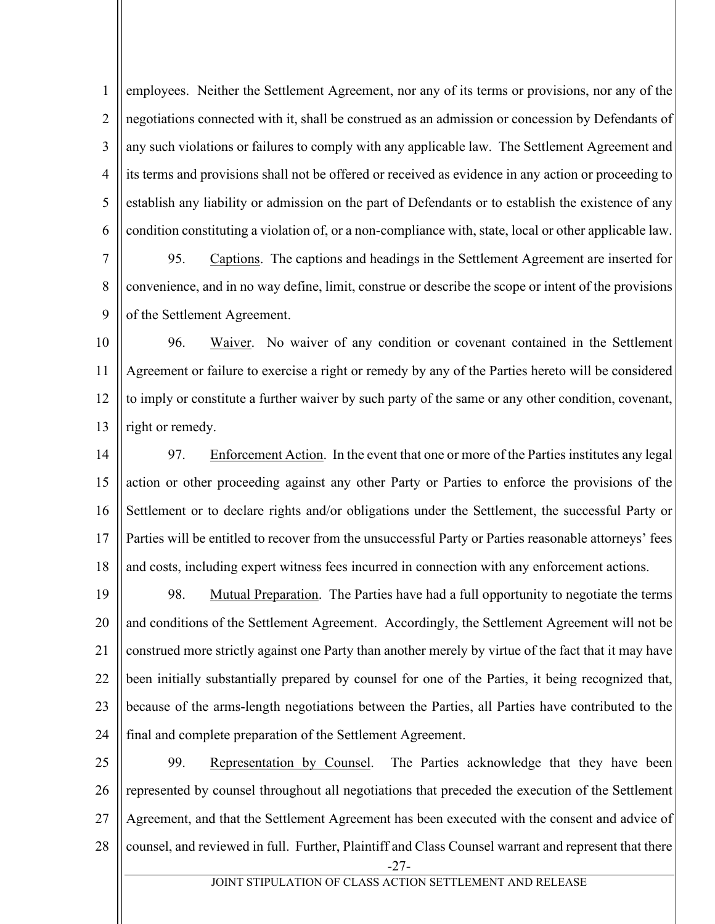1 2 3 4 5 6 employees. Neither the Settlement Agreement, nor any of its terms or provisions, nor any of the negotiations connected with it, shall be construed as an admission or concession by Defendants of any such violations or failures to comply with any applicable law. The Settlement Agreement and its terms and provisions shall not be offered or received as evidence in any action or proceeding to establish any liability or admission on the part of Defendants or to establish the existence of any condition constituting a violation of, or a non-compliance with, state, local or other applicable law.

7 8 9 95. Captions. The captions and headings in the Settlement Agreement are inserted for convenience, and in no way define, limit, construe or describe the scope or intent of the provisions of the Settlement Agreement.

10 11 12 13 96. Waiver. No waiver of any condition or covenant contained in the Settlement Agreement or failure to exercise a right or remedy by any of the Parties hereto will be considered to imply or constitute a further waiver by such party of the same or any other condition, covenant, right or remedy.

14 15 16 17 18 97. Enforcement Action. In the event that one or more of the Parties institutes any legal action or other proceeding against any other Party or Parties to enforce the provisions of the Settlement or to declare rights and/or obligations under the Settlement, the successful Party or Parties will be entitled to recover from the unsuccessful Party or Parties reasonable attorneys' fees and costs, including expert witness fees incurred in connection with any enforcement actions.

19 20 21 22 23 24 98. Mutual Preparation. The Parties have had a full opportunity to negotiate the terms and conditions of the Settlement Agreement. Accordingly, the Settlement Agreement will not be construed more strictly against one Party than another merely by virtue of the fact that it may have been initially substantially prepared by counsel for one of the Parties, it being recognized that, because of the arms-length negotiations between the Parties, all Parties have contributed to the final and complete preparation of the Settlement Agreement.

-27- 25 26 27 28 99. Representation by Counsel. The Parties acknowledge that they have been represented by counsel throughout all negotiations that preceded the execution of the Settlement Agreement, and that the Settlement Agreement has been executed with the consent and advice of counsel, and reviewed in full. Further, Plaintiff and Class Counsel warrant and represent that there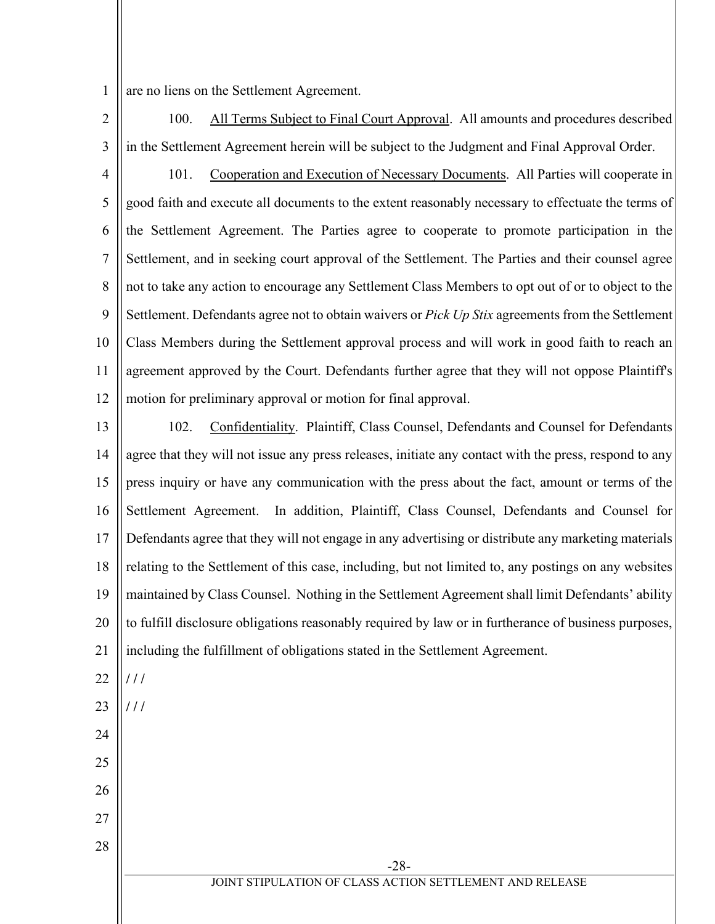1 are no liens on the Settlement Agreement.

23

**/ / /**

24

25

26

27

28

2 3 100. All Terms Subject to Final Court Approval. All amounts and procedures described in the Settlement Agreement herein will be subject to the Judgment and Final Approval Order.

4 5 6 7 8 9 10 11 12 101. Cooperation and Execution of Necessary Documents. All Parties will cooperate in good faith and execute all documents to the extent reasonably necessary to effectuate the terms of the Settlement Agreement. The Parties agree to cooperate to promote participation in the Settlement, and in seeking court approval of the Settlement. The Parties and their counsel agree not to take any action to encourage any Settlement Class Members to opt out of or to object to the Settlement. Defendants agree not to obtain waivers or *Pick Up Stix* agreements from the Settlement Class Members during the Settlement approval process and will work in good faith to reach an agreement approved by the Court. Defendants further agree that they will not oppose Plaintiff's motion for preliminary approval or motion for final approval.

13 14 15 16 17 18 19 20 21 22 102. Confidentiality. Plaintiff, Class Counsel, Defendants and Counsel for Defendants agree that they will not issue any press releases, initiate any contact with the press, respond to any press inquiry or have any communication with the press about the fact, amount or terms of the Settlement Agreement. In addition, Plaintiff, Class Counsel, Defendants and Counsel for Defendants agree that they will not engage in any advertising or distribute any marketing materials relating to the Settlement of this case, including, but not limited to, any postings on any websites maintained by Class Counsel. Nothing in the Settlement Agreement shall limit Defendants' ability to fulfill disclosure obligations reasonably required by law or in furtherance of business purposes, including the fulfillment of obligations stated in the Settlement Agreement. **/ / /**

-28-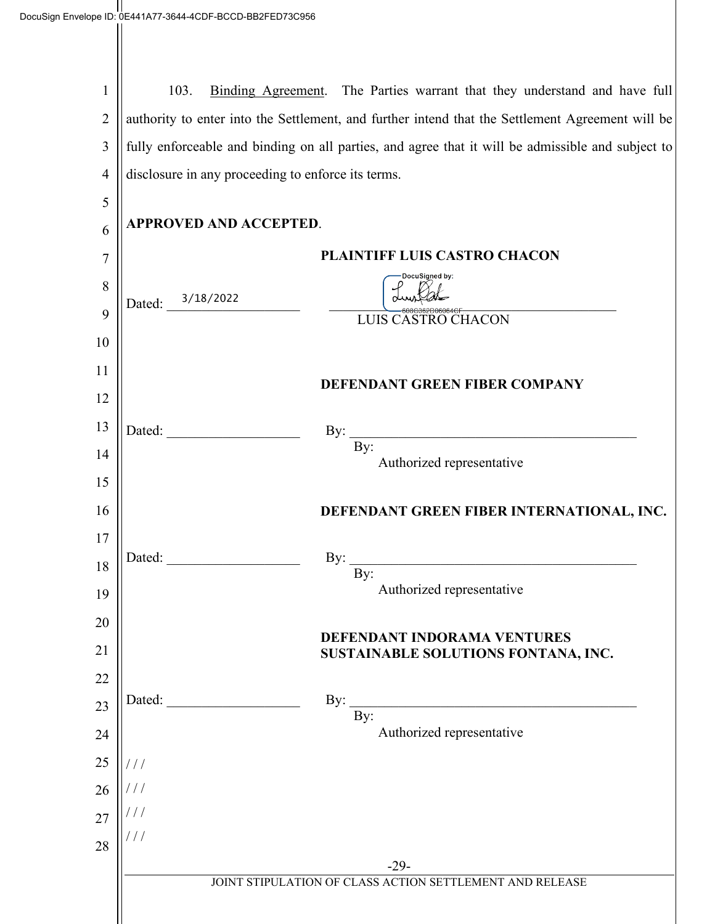1 2 3 4 103. Binding Agreement. The Parties warrant that they understand and have full authority to enter into the Settlement, and further intend that the Settlement Agreement will be fully enforceable and binding on all parties, and agree that it will be admissible and subject to disclosure in any proceeding to enforce its terms.

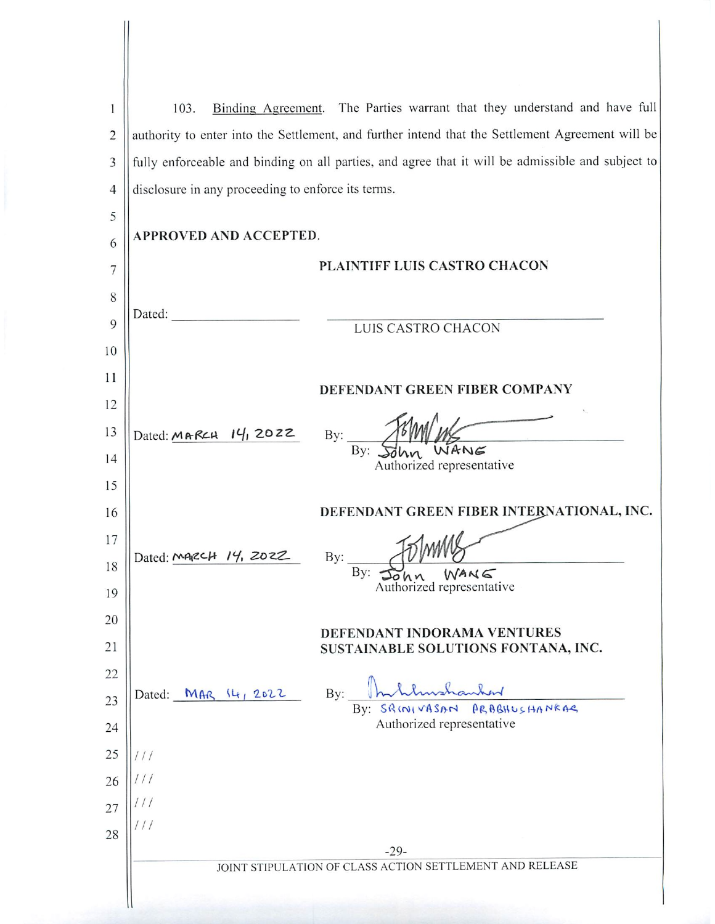| 1              | Binding Agreement. The Parties warrant that they understand and have full<br>103.                 |  |
|----------------|---------------------------------------------------------------------------------------------------|--|
| $\overline{2}$ | authority to enter into the Settlement, and further intend that the Settlement Agreement will be  |  |
| 3              | fully enforceable and binding on all parties, and agree that it will be admissible and subject to |  |
| $\overline{4}$ | disclosure in any proceeding to enforce its terms.                                                |  |
| 5              |                                                                                                   |  |
| 6              | APPROVED AND ACCEPTED.                                                                            |  |
| 7              | PLAINTIFF LUIS CASTRO CHACON                                                                      |  |
| 8              |                                                                                                   |  |
| 9              | Dated:<br>LUIS CASTRO CHACON                                                                      |  |
| 10             |                                                                                                   |  |
| 11             | DEFENDANT GREEN FIBER COMPANY                                                                     |  |
| 12             |                                                                                                   |  |
| 13             | Dated: MARCH 14, 2022<br>By:                                                                      |  |
| 14             | ANG<br>By:<br>Authorized representative                                                           |  |
| 15             |                                                                                                   |  |
| 16             | DEFENDANT GREEN FIBER INTERNATIONAL, INC.                                                         |  |
| 17             | Dated: MARCH<br>14, 2022                                                                          |  |
| 18             | By:<br>By<br>WANG                                                                                 |  |
| 19             | Authorized representative                                                                         |  |
| 20             | DEFENDANT INDORAMA VENTURES                                                                       |  |
| 21             | SUSTAINABLE SOLUTIONS FONTANA, INC.                                                               |  |
| 22             | By:                                                                                               |  |
| 23             | Dated: MAR 14, 2022<br>By: SRINIVASAN PRABHUSHANKAR                                               |  |
| 24             | Authorized representative                                                                         |  |
| 25             | $\frac{1}{2}$                                                                                     |  |
| 26             |                                                                                                   |  |
| 27             | $\frac{1}{2}$<br>$\frac{1}{2}$                                                                    |  |
| 28             | $-29-$                                                                                            |  |
|                | JOINT STIPULATION OF CLASS ACTION SETTLEMENT AND RELEASE                                          |  |
|                |                                                                                                   |  |

 $\blacksquare$